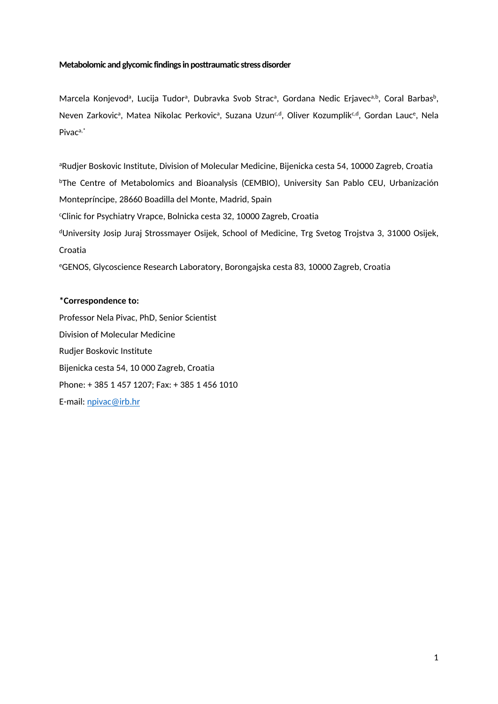# **Metabolomic and glycomic findings in posttraumatic stress disorder**

Marcela Konjevod<sup>a</sup>, Lucija Tudor<sup>a</sup>, Dubravka Svob Strac<sup>a</sup>, Gordana Nedic Erjavec<sup>a,b</sup>, Coral Barbas<sup>b</sup>, Neven Zarkovic<sup>a</sup>, Matea Nikolac Perkovic<sup>a</sup>, Suzana Uzun<sup>c,d</sup>, Oliver Kozumplik<sup>c,d</sup>, Gordan Lauc<sup>e</sup>, Nela Pivaca,\*

aRudjer Boskovic Institute, Division of Molecular Medicine, Bijenicka cesta 54, 10000 Zagreb, Croatia <sup>b</sup>The Centre of Metabolomics and Bioanalysis (CEMBIO), University San Pablo CEU, Urbanización Montepríncipe, 28660 Boadilla del Monte, Madrid, Spain <sup>c</sup>Clinic for Psychiatry Vrapce, Bolnicka cesta 32, 10000 Zagreb, Croatia <sup>d</sup>University Josip Juraj Strossmayer Osijek, School of Medicine, Trg Svetog Trojstva 3, 31000 Osijek, Croatia <sup>e</sup>GENOS, Glycoscience Research Laboratory, Borongajska cesta 83, 10000 Zagreb, Croatia

# **\*Correspondence to:**

Professor Nela Pivac, PhD, Senior Scientist Division of Molecular Medicine Rudjer Boskovic Institute Bijenicka cesta 54, 10 000 Zagreb, Croatia Phone: + 385 1 457 1207; Fax: + 385 1 456 1010 E-mail: [npivac@irb.hr](mailto:npivac@irb.hr)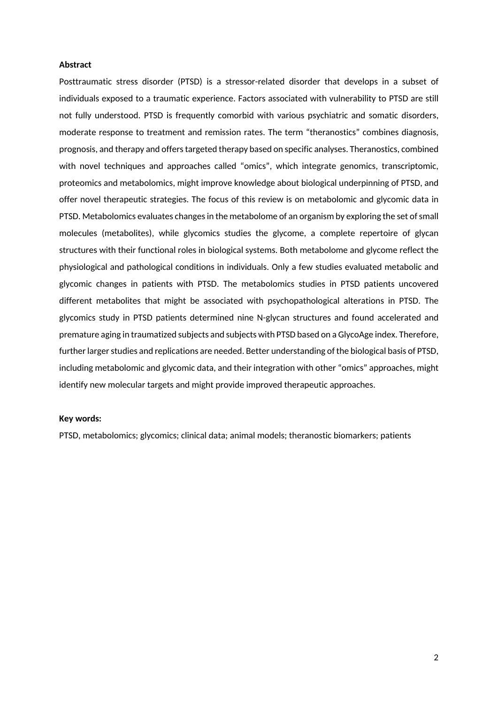## **Abstract**

Posttraumatic stress disorder (PTSD) is a stressor-related disorder that develops in a subset of individuals exposed to a traumatic experience. Factors associated with vulnerability to PTSD are still not fully understood. PTSD is frequently comorbid with various psychiatric and somatic disorders, moderate response to treatment and remission rates. The term "theranostics" combines diagnosis, prognosis, and therapy and offers targeted therapy based on specific analyses. Theranostics, combined with novel techniques and approaches called "omics", which integrate genomics, transcriptomic, proteomics and metabolomics, might improve knowledge about biological underpinning of PTSD, and offer novel therapeutic strategies. The focus of this review is on metabolomic and glycomic data in PTSD. Metabolomics evaluates changes in the metabolome of an organism by exploring the set of small molecules (metabolites), while glycomics studies the glycome, a complete repertoire of glycan structures with their functional roles in biological systems. Both metabolome and glycome reflect the physiological and pathological conditions in individuals. Only a few studies evaluated metabolic and glycomic changes in patients with PTSD. The metabolomics studies in PTSD patients uncovered different metabolites that might be associated with psychopathological alterations in PTSD. The glycomics study in PTSD patients determined nine N-glycan structures and found accelerated and premature aging in traumatized subjects and subjects with PTSD based on a GlycoAge index. Therefore, further larger studies and replications are needed. Better understanding of the biological basis of PTSD, including metabolomic and glycomic data, and their integration with other "omics" approaches, might identify new molecular targets and might provide improved therapeutic approaches.

## **Key words:**

PTSD, metabolomics; glycomics; clinical data; animal models; theranostic biomarkers; patients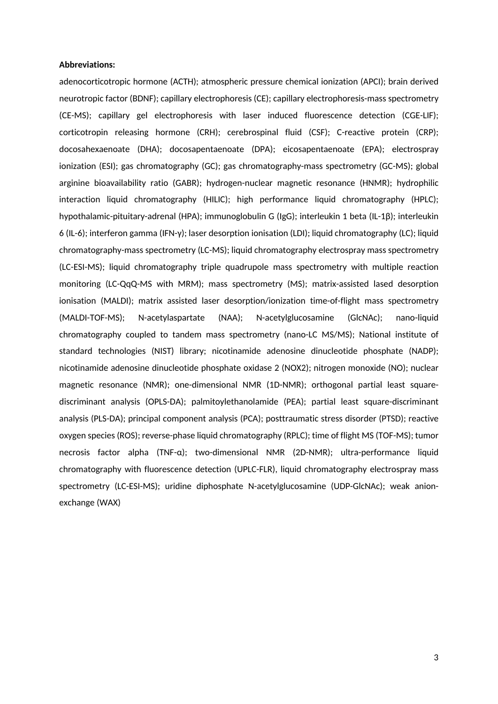## **Abbreviations:**

adenocorticotropic hormone (ACTH); atmospheric pressure chemical ionization (APCI); brain derived neurotropic factor (BDNF); capillary electrophoresis (CE); capillary electrophoresis-mass spectrometry (CE-MS); capillary gel electrophoresis with laser induced fluorescence detection (CGE-LIF); corticotropin releasing hormone (CRH); cerebrospinal fluid (CSF); C-reactive protein (CRP); docosahexaenoate (DHA); docosapentaenoate (DPA); eicosapentaenoate (EPA); electrospray ionization (ESI); gas chromatography (GC); gas chromatography-mass spectrometry (GC-MS); global arginine bioavailability ratio (GABR); hydrogen-nuclear magnetic resonance (HNMR); hydrophilic interaction liquid chromatography (HILIC); high performance liquid chromatography (HPLC); hypothalamic-pituitary-adrenal (HPA); immunoglobulin G (IgG); interleukin 1 beta (IL-1β); interleukin 6 (IL-6); interferon gamma (IFN-γ); laser desorption ionisation (LDI); liquid chromatography (LC); liquid chromatography-mass spectrometry (LC-MS); liquid chromatography electrospray mass spectrometry (LC-ESI-MS); liquid chromatography triple quadrupole mass spectrometry with multiple reaction monitoring (LC-QqQ-MS with MRM); mass spectrometry (MS); matrix-assisted lased desorption ionisation (MALDI); matrix assisted laser desorption/ionization time-of-flight mass spectrometry (MALDI-TOF-MS); N-acetylaspartate (NAA); N-acetylglucosamine (GlcNAc); nano-liquid chromatography coupled to tandem mass spectrometry (nano-LC MS/MS); National institute of standard technologies (NIST) library; nicotinamide adenosine dinucleotide phosphate (NADP); nicotinamide adenosine dinucleotide phosphate oxidase 2 (NOX2); nitrogen monoxide (NO); nuclear magnetic resonance (NMR); one-dimensional NMR (1D-NMR); orthogonal partial least squarediscriminant analysis (OPLS-DA); palmitoylethanolamide (PEA); partial least square-discriminant analysis (PLS-DA); principal component analysis (PCA); posttraumatic stress disorder (PTSD); reactive oxygen species (ROS); reverse-phase liquid chromatography (RPLC); time of flight MS (TOF-MS); tumor necrosis factor alpha (TNF-α); two-dimensional NMR (2D-NMR); ultra-performance liquid chromatography with fluorescence detection (UPLC-FLR), liquid chromatography electrospray mass spectrometry (LC-ESI-MS); uridine diphosphate N-acetylglucosamine (UDP-GlcNAc); weak anionexchange (WAX)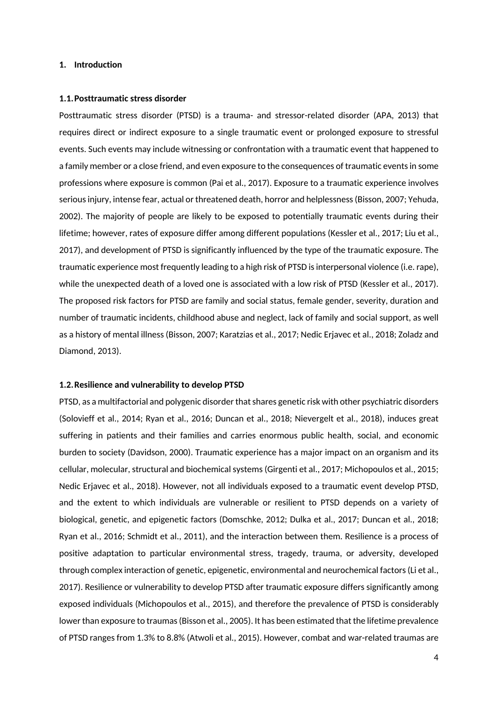## **1. Introduction**

#### **1.1.Posttraumatic stress disorder**

Posttraumatic stress disorder (PTSD) is a trauma- and stressor-related disorder (APA, 2013) that requires direct or indirect exposure to a single traumatic event or prolonged exposure to stressful events. Such events may include witnessing or confrontation with a traumatic event that happened to a family member or a close friend, and even exposure to the consequences of traumatic events in some professions where exposure is common (Pai et al., 2017). Exposure to a traumatic experience involves serious injury, intense fear, actual or threatened death, horror and helplessness (Bisson, 2007; Yehuda, 2002). The majority of people are likely to be exposed to potentially traumatic events during their lifetime; however, rates of exposure differ among different populations (Kessler et al., 2017; Liu et al., 2017), and development of PTSD is significantly influenced by the type of the traumatic exposure. The traumatic experience most frequently leading to a high risk of PTSD is interpersonal violence (i.e. rape), while the unexpected death of a loved one is associated with a low risk of PTSD (Kessler et al., 2017). The proposed risk factors for PTSD are family and social status, female gender, severity, duration and number of traumatic incidents, childhood abuse and neglect, lack of family and social support, as well as a history of mental illness (Bisson, 2007; Karatzias et al., 2017; Nedic Erjavec et al., 2018; Zoladz and Diamond, 2013).

#### **1.2.Resilience and vulnerability to develop PTSD**

PTSD, as a multifactorial and polygenic disorder that shares genetic risk with other psychiatric disorders (Solovieff et al., 2014; Ryan et al., 2016; Duncan et al., 2018; Nievergelt et al., 2018), induces great suffering in patients and their families and carries enormous public health, social, and economic burden to society (Davidson, 2000). Traumatic experience has a major impact on an organism and its cellular, molecular, structural and biochemical systems (Girgenti et al., 2017; Michopoulos et al., 2015; Nedic Erjavec et al., 2018). However, not all individuals exposed to a traumatic event develop PTSD, and the extent to which individuals are vulnerable or resilient to PTSD depends on a variety of biological, genetic, and epigenetic factors (Domschke, 2012; Dulka et al., 2017; Duncan et al., 2018; Ryan et al., 2016; Schmidt et al., 2011), and the interaction between them. Resilience is a process of positive adaptation to particular environmental stress, tragedy, trauma, or adversity, developed through complex interaction of genetic, epigenetic, environmental and neurochemical factors (Li et al., 2017). Resilience or vulnerability to develop PTSD after traumatic exposure differs significantly among exposed individuals (Michopoulos et al., 2015), and therefore the prevalence of PTSD is considerably lower than exposure to traumas (Bisson et al., 2005). It has been estimated that the lifetime prevalence of PTSD ranges from 1.3% to 8.8% (Atwoli et al., 2015). However, combat and war-related traumas are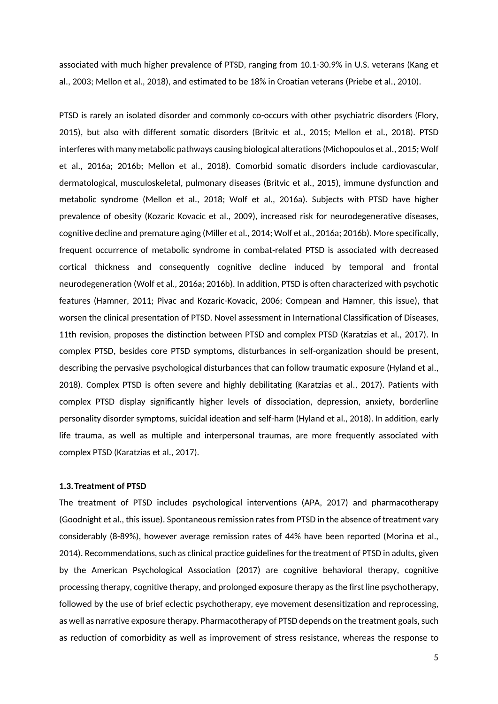associated with much higher prevalence of PTSD, ranging from 10.1-30.9% in U.S. veterans (Kang et al., 2003; Mellon et al., 2018), and estimated to be 18% in Croatian veterans (Priebe et al., 2010).

PTSD is rarely an isolated disorder and commonly co-occurs with other psychiatric disorders (Flory, 2015), but also with different somatic disorders (Britvic et al., 2015; Mellon et al., 2018). PTSD interferes with many metabolic pathways causing biological alterations (Michopoulos et al., 2015; Wolf et al., 2016a; 2016b; Mellon et al., 2018). Comorbid somatic disorders include cardiovascular, dermatological, musculoskeletal, pulmonary diseases (Britvic et al., 2015), immune dysfunction and metabolic syndrome (Mellon et al., 2018; Wolf et al., 2016a). Subjects with PTSD have higher prevalence of obesity (Kozaric Kovacic et al., 2009), increased risk for neurodegenerative diseases, cognitive decline and premature aging (Miller et al., 2014; Wolf et al., 2016a; 2016b). More specifically, frequent occurrence of metabolic syndrome in combat-related PTSD is associated with decreased cortical thickness and consequently cognitive decline induced by temporal and frontal neurodegeneration (Wolf et al., 2016a; 2016b). In addition, PTSD is often characterized with psychotic features (Hamner, 2011; Pivac and Kozaric-Kovacic, 2006; Compean and Hamner, this issue), that worsen the clinical presentation of PTSD. Novel assessment in International Classification of Diseases, 11th revision, proposes the distinction between PTSD and complex PTSD (Karatzias et al., 2017). In complex PTSD, besides core PTSD symptoms, disturbances in self-organization should be present, describing the pervasive psychological disturbances that can follow traumatic exposure (Hyland et al., 2018). Complex PTSD is often severe and highly debilitating (Karatzias et al., 2017). Patients with complex PTSD display significantly higher levels of dissociation, depression, anxiety, borderline personality disorder symptoms, suicidal ideation and self-harm (Hyland et al., 2018). In addition, early life trauma, as well as multiple and interpersonal traumas, are more frequently associated with complex PTSD (Karatzias et al., 2017).

## **1.3.Treatment of PTSD**

The treatment of PTSD includes psychological interventions (APA, 2017) and pharmacotherapy (Goodnight et al., this issue). Spontaneous remission rates from PTSD in the absence of treatment vary considerably (8-89%), however average remission rates of 44% have been reported (Morina et al., 2014). Recommendations, such as clinical practice guidelines for the treatment of PTSD in adults, given by the American Psychological Association (2017) are cognitive behavioral therapy, cognitive processing therapy, cognitive therapy, and prolonged exposure therapy as the first line psychotherapy, followed by the use of brief eclectic psychotherapy, eye movement desensitization and reprocessing, as well as narrative exposure therapy. Pharmacotherapy of PTSD depends on the treatment goals, such as reduction of comorbidity as well as improvement of stress resistance, whereas the response to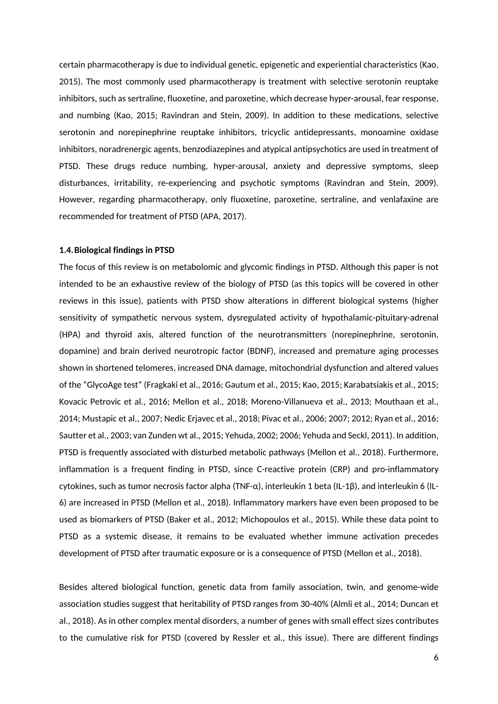certain pharmacotherapy is due to individual genetic, epigenetic and experiential characteristics (Kao, 2015). The most commonly used pharmacotherapy is treatment with selective serotonin reuptake inhibitors, such as sertraline, fluoxetine, and paroxetine, which decrease hyper-arousal, fear response, and numbing (Kao, 2015; Ravindran and Stein, 2009). In addition to these medications, selective serotonin and norepinephrine reuptake inhibitors, tricyclic antidepressants, monoamine oxidase inhibitors, noradrenergic agents, benzodiazepines and atypical antipsychotics are used in treatment of PTSD. These drugs reduce numbing, hyper-arousal, anxiety and depressive symptoms, sleep disturbances, irritability, re-experiencing and psychotic symptoms (Ravindran and Stein, 2009). However, regarding pharmacotherapy, only fluoxetine, paroxetine, sertraline, and venlafaxine are recommended for treatment of PTSD (APA, 2017).

#### **1.4.Biological findings in PTSD**

The focus of this review is on metabolomic and glycomic findings in PTSD. Although this paper is not intended to be an exhaustive review of the biology of PTSD (as this topics will be covered in other reviews in this issue), patients with PTSD show alterations in different biological systems (higher sensitivity of sympathetic nervous system, dysregulated activity of hypothalamic-pituitary-adrenal (HPA) and thyroid axis, altered function of the neurotransmitters (norepinephrine, serotonin, dopamine) and brain derived neurotropic factor (BDNF), increased and premature aging processes shown in shortened telomeres, increased DNA damage, mitochondrial dysfunction and altered values of the "GlycoAge test" (Fragkaki et al., 2016; Gautum et al., 2015; Kao, 2015; Karabatsiakis et al., 2015; Kovacic Petrovic et al., 2016; Mellon et al., 2018; Moreno-Villanueva et al., 2013; Mouthaan et al., 2014; Mustapic et al., 2007; Nedic Erjavec et al., 2018; Pivac et al., 2006; 2007; 2012; Ryan et al., 2016; Sautter et al., 2003; van Zunden wt al., 2015; Yehuda, 2002; 2006; Yehuda and Seckl, 2011). In addition, PTSD is frequently associated with disturbed metabolic pathways (Mellon et al., 2018). Furthermore, inflammation is a frequent finding in PTSD, since C-reactive protein (CRP) and pro-inflammatory cytokines, such as tumor necrosis factor alpha (TNF-α), interleukin 1 beta (IL-1β), and interleukin 6 (IL-6) are increased in PTSD (Mellon et al., 2018). Inflammatory markers have even been proposed to be used as biomarkers of PTSD (Baker et al., 2012; Michopoulos et al., 2015). While these data point to PTSD as a systemic disease, it remains to be evaluated whether immune activation precedes development of PTSD after traumatic exposure or is a consequence of PTSD (Mellon et al., 2018).

Besides altered biological function, genetic data from family association, twin, and genome-wide association studies suggest that heritability of PTSD ranges from 30-40% (Almli et al., 2014; Duncan et al., 2018). As in other complex mental disorders, a number of genes with small effect sizes contributes to the cumulative risk for PTSD (covered by Ressler et al., this issue). There are different findings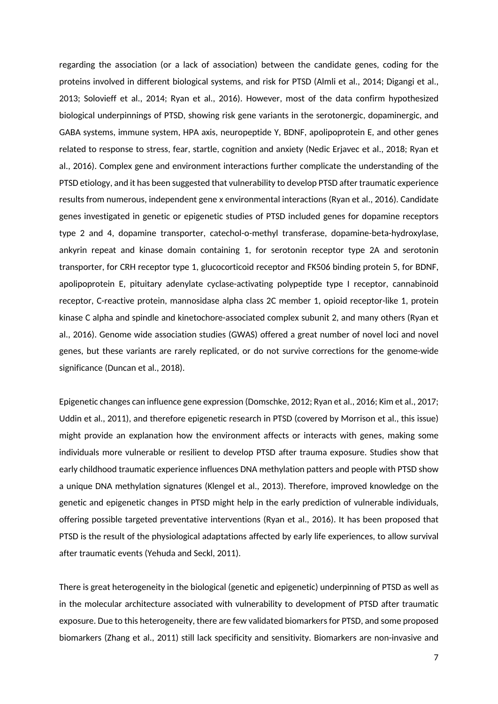regarding the association (or a lack of association) between the candidate genes, coding for the proteins involved in different biological systems, and risk for PTSD (Almli et al., 2014; Digangi et al., 2013; Solovieff et al., 2014; Ryan et al., 2016). However, most of the data confirm hypothesized biological underpinnings of PTSD, showing risk gene variants in the serotonergic, dopaminergic, and GABA systems, immune system, HPA axis, neuropeptide Y, BDNF, apolipoprotein E, and other genes related to response to stress, fear, startle, cognition and anxiety (Nedic Erjavec et al., 2018; Ryan et al., 2016). Complex gene and environment interactions further complicate the understanding of the PTSD etiology, and it has been suggested that vulnerability to develop PTSD after traumatic experience results from numerous, independent gene x environmental interactions (Ryan et al., 2016). Candidate genes investigated in genetic or epigenetic studies of PTSD included genes for dopamine receptors type 2 and 4, dopamine transporter, catechol-o-methyl transferase, dopamine-beta-hydroxylase, ankyrin repeat and kinase domain containing 1, for serotonin receptor type 2A and serotonin transporter, for CRH receptor type 1, glucocorticoid receptor and FK506 binding protein 5, for BDNF, apolipoprotein E, pituitary adenylate cyclase-activating polypeptide type I receptor, cannabinoid receptor, C-reactive protein, mannosidase alpha class 2C member 1, opioid receptor-like 1, protein kinase C alpha and spindle and kinetochore-associated complex subunit 2, and many others (Ryan et al., 2016). Genome wide association studies (GWAS) offered a great number of novel loci and novel genes, but these variants are rarely replicated, or do not survive corrections for the genome-wide significance (Duncan et al., 2018).

Epigenetic changes can influence gene expression (Domschke, 2012; Ryan et al., 2016; Kim et al., 2017; Uddin et al., 2011), and therefore epigenetic research in PTSD (covered by Morrison et al., this issue) might provide an explanation how the environment affects or interacts with genes, making some individuals more vulnerable or resilient to develop PTSD after trauma exposure. Studies show that early childhood traumatic experience influences DNA methylation patters and people with PTSD show a unique DNA methylation signatures (Klengel et al., 2013). Therefore, improved knowledge on the genetic and epigenetic changes in PTSD might help in the early prediction of vulnerable individuals, offering possible targeted preventative interventions (Ryan et al., 2016). It has been proposed that PTSD is the result of the physiological adaptations affected by early life experiences, to allow survival after traumatic events (Yehuda and Seckl, 2011).

There is great heterogeneity in the biological (genetic and epigenetic) underpinning of PTSD as well as in the molecular architecture associated with vulnerability to development of PTSD after traumatic exposure. Due to this heterogeneity, there are few validated biomarkers for PTSD, and some proposed biomarkers (Zhang et al., 2011) still lack specificity and sensitivity. Biomarkers are non-invasive and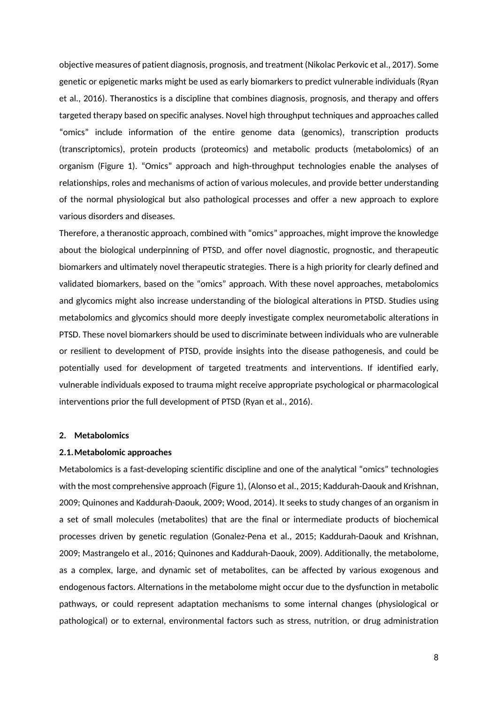objective measures of patient diagnosis, prognosis, and treatment (Nikolac Perkovic et al., 2017). Some genetic or epigenetic marks might be used as early biomarkers to predict vulnerable individuals (Ryan et al., 2016). Theranostics is a discipline that combines diagnosis, prognosis, and therapy and offers targeted therapy based on specific analyses. Novel high throughput techniques and approaches called "omics" include information of the entire genome data (genomics), transcription products (transcriptomics), protein products (proteomics) and metabolic products (metabolomics) of an organism (Figure 1). "Omics" approach and high-throughput technologies enable the analyses of relationships, roles and mechanisms of action of various molecules, and provide better understanding of the normal physiological but also pathological processes and offer a new approach to explore various disorders and diseases.

Therefore, a theranostic approach, combined with "omics" approaches, might improve the knowledge about the biological underpinning of PTSD, and offer novel diagnostic, prognostic, and therapeutic biomarkers and ultimately novel therapeutic strategies. There is a high priority for clearly defined and validated biomarkers, based on the "omics" approach. With these novel approaches, metabolomics and glycomics might also increase understanding of the biological alterations in PTSD. Studies using metabolomics and glycomics should more deeply investigate complex neurometabolic alterations in PTSD. These novel biomarkers should be used to discriminate between individuals who are vulnerable or resilient to development of PTSD, provide insights into the disease pathogenesis, and could be potentially used for development of targeted treatments and interventions. If identified early, vulnerable individuals exposed to trauma might receive appropriate psychological or pharmacological interventions prior the full development of PTSD (Ryan et al., 2016).

### **2. Metabolomics**

#### **2.1.Metabolomic approaches**

Metabolomics is a fast-developing scientific discipline and one of the analytical "omics" technologies with the most comprehensive approach (Figure 1), (Alonso et al., 2015; Kaddurah-Daouk and Krishnan, 2009; Quinones and Kaddurah-Daouk, 2009; Wood, 2014). It seeks to study changes of an organism in a set of small molecules (metabolites) that are the final or intermediate products of biochemical processes driven by genetic regulation (Gonalez-Pena et al., 2015; Kaddurah-Daouk and Krishnan, 2009; Mastrangelo et al., 2016; Quinones and Kaddurah-Daouk, 2009). Additionally, the metabolome, as a complex, large, and dynamic set of metabolites, can be affected by various exogenous and endogenous factors. Alternations in the metabolome might occur due to the dysfunction in metabolic pathways, or could represent adaptation mechanisms to some internal changes (physiological or pathological) or to external, environmental factors such as stress, nutrition, or drug administration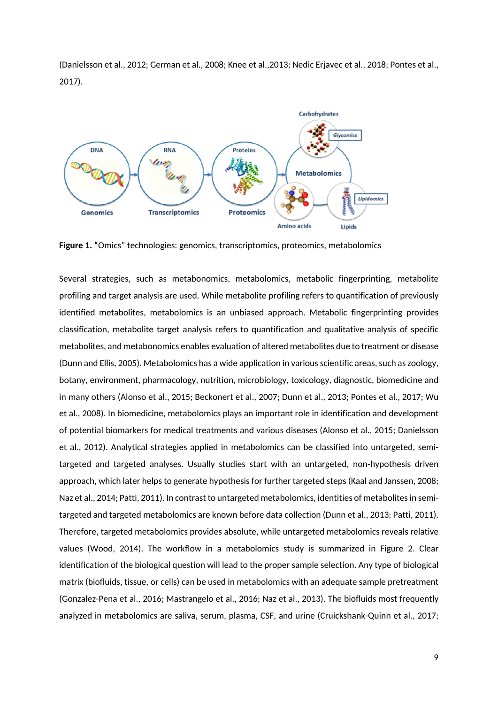

(Danielsson et al., 2012; German et al., 2008; Knee et al.,2013; Nedic Erjavec et al., 2018; Pontes et al., 2017).

**Figure 1. "**Omics" technologies: genomics, transcriptomics, proteomics, metabolomics

Several strategies, such as metabonomics, metabolomics, metabolic fingerprinting, metabolite profiling and target analysis are used. While metabolite profiling refers to quantification of previously identified metabolites, metabolomics is an unbiased approach. Metabolic fingerprinting provides classification, metabolite target analysis refers to quantification and qualitative analysis of specific metabolites, and metabonomics enables evaluation of altered metabolites due to treatment or disease (Dunn and Ellis, 2005). Metabolomics has a wide application in various scientific areas, such as zoology, botany, environment, pharmacology, nutrition, microbiology, toxicology, diagnostic, biomedicine and in many others (Alonso et al., 2015; Beckonert et al., 2007; Dunn et al., 2013; Pontes et al., 2017; Wu et al., 2008). In biomedicine, metabolomics plays an important role in identification and development of potential biomarkers for medical treatments and various diseases (Alonso et al., 2015; Danielsson et al., 2012). Analytical strategies applied in metabolomics can be classified into untargeted, semitargeted and targeted analyses. Usually studies start with an untargeted, non-hypothesis driven approach, which later helps to generate hypothesis for further targeted steps (Kaal and Janssen, 2008; Naz et al., 2014; Patti, 2011). In contrast to untargeted metabolomics, identities of metabolites in semitargeted and targeted metabolomics are known before data collection (Dunn et al., 2013; Patti, 2011). Therefore, targeted metabolomics provides absolute, while untargeted metabolomics reveals relative values (Wood, 2014). The workflow in a metabolomics study is summarized in Figure 2. Clear identification of the biological question will lead to the proper sample selection. Any type of biological matrix (biofluids, tissue, or cells) can be used in metabolomics with an adequate sample pretreatment (Gonzalez-Pena et al., 2016; Mastrangelo et al., 2016; Naz et al., 2013). The biofluids most frequently analyzed in metabolomics are saliva, serum, plasma, CSF, and urine (Cruickshank-Quinn et al., 2017;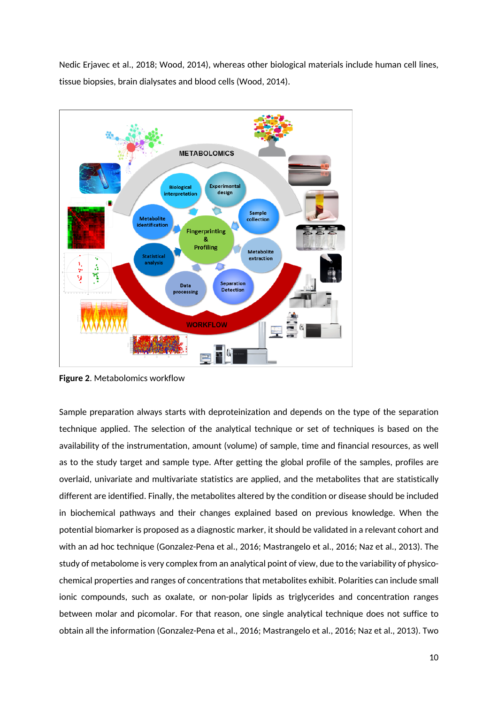Nedic Erjavec et al., 2018; Wood, 2014), whereas other biological materials include human cell lines, tissue biopsies, brain dialysates and blood cells (Wood, 2014).



**Figure 2**. Metabolomics workflow

Sample preparation always starts with deproteinization and depends on the type of the separation technique applied. The selection of the analytical technique or set of techniques is based on the availability of the instrumentation, amount (volume) of sample, time and financial resources, as well as to the study target and sample type. After getting the global profile of the samples, profiles are overlaid, univariate and multivariate statistics are applied, and the metabolites that are statistically different are identified. Finally, the metabolites altered by the condition or disease should be included in biochemical pathways and their changes explained based on previous knowledge. When the potential biomarker is proposed as a diagnostic marker, it should be validated in a relevant cohort and with an ad hoc technique (Gonzalez-Pena et al., 2016; Mastrangelo et al., 2016; Naz et al., 2013). The study of metabolome is very complex from an analytical point of view, due to the variability of physicochemical properties and ranges of concentrations that metabolites exhibit. Polarities can include small ionic compounds, such as oxalate, or non-polar lipids as triglycerides and concentration ranges between molar and picomolar. For that reason, one single analytical technique does not suffice to obtain all the information (Gonzalez-Pena et al., 2016; Mastrangelo et al., 2016; Naz et al., 2013). Two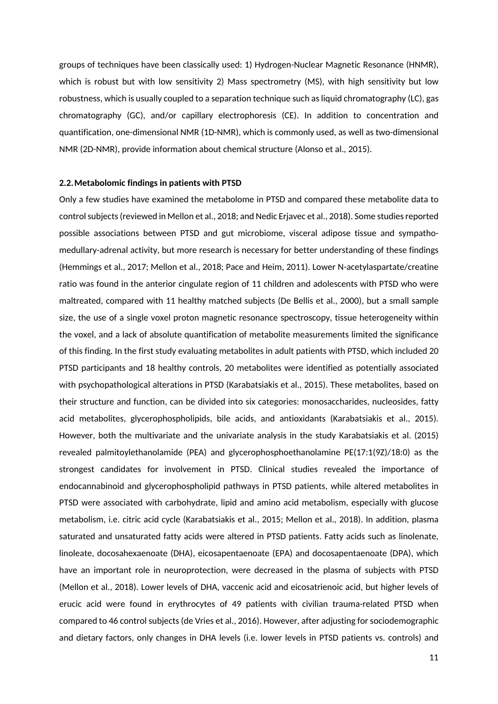groups of techniques have been classically used: 1) Hydrogen-Nuclear Magnetic Resonance (HNMR), which is robust but with low sensitivity 2) Mass spectrometry (MS), with high sensitivity but low robustness, which is usually coupled to a separation technique such as liquid chromatography (LC), gas chromatography (GC), and/or capillary electrophoresis (CE). In addition to concentration and quantification, one-dimensional NMR (1D-NMR), which is commonly used, as well as two-dimensional NMR (2D-NMR), provide information about chemical structure (Alonso et al., 2015).

#### **2.2.Metabolomic findings in patients with PTSD**

Only a few studies have examined the metabolome in PTSD and compared these metabolite data to control subjects (reviewed in Mellon et al., 2018; and Nedic Erjavec et al., 2018). Some studies reported possible associations between PTSD and gut microbiome, visceral adipose tissue and sympathomedullary-adrenal activity, but more research is necessary for better understanding of these findings (Hemmings et al., 2017; Mellon et al., 2018; Pace and Heim, 2011). Lower N-acetylaspartate/creatine ratio was found in the anterior cingulate region of 11 children and adolescents with PTSD who were maltreated, compared with 11 healthy matched subjects (De Bellis et al., 2000), but a small sample size, the use of a single voxel proton magnetic resonance spectroscopy, tissue heterogeneity within the voxel, and a lack of absolute quantification of metabolite measurements limited the significance of this finding. In the first study evaluating metabolites in adult patients with PTSD, which included 20 PTSD participants and 18 healthy controls, 20 metabolites were identified as potentially associated with psychopathological alterations in PTSD (Karabatsiakis et al., 2015). These metabolites, based on their structure and function, can be divided into six categories: monosaccharides, nucleosides, fatty acid metabolites, glycerophospholipids, bile acids, and antioxidants (Karabatsiakis et al., 2015). However, both the multivariate and the univariate analysis in the study Karabatsiakis et al. (2015) revealed palmitoylethanolamide (PEA) and glycerophosphoethanolamine PE(17:1(9Z)/18:0) as the strongest candidates for involvement in PTSD. Clinical studies revealed the importance of endocannabinoid and glycerophospholipid pathways in PTSD patients, while altered metabolites in PTSD were associated with carbohydrate, lipid and amino acid metabolism, especially with glucose metabolism, i.e. citric acid cycle (Karabatsiakis et al., 2015; Mellon et al., 2018). In addition, plasma saturated and unsaturated fatty acids were altered in PTSD patients. Fatty acids such as linolenate, linoleate, docosahexaenoate (DHA), eicosapentaenoate (EPA) and docosapentaenoate (DPA), which have an important role in neuroprotection, were decreased in the plasma of subjects with PTSD (Mellon et al., 2018). Lower levels of DHA, vaccenic acid and eicosatrienoic acid, but higher levels of erucic acid were found in erythrocytes of 49 patients with civilian trauma-related PTSD when compared to 46 control subjects (de Vries et al., 2016). However, after adjusting for sociodemographic and dietary factors, only changes in DHA levels (i.e. lower levels in PTSD patients vs. controls) and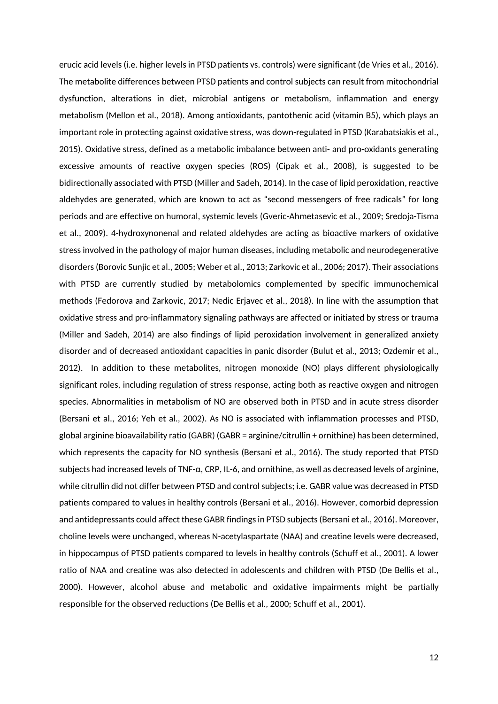erucic acid levels (i.e. higher levels in PTSD patients vs. controls) were significant (de Vries et al., 2016). The metabolite differences between PTSD patients and control subjects can result from mitochondrial dysfunction, alterations in diet, microbial antigens or metabolism, inflammation and energy metabolism (Mellon et al., 2018). Among antioxidants, pantothenic acid (vitamin B5), which plays an important role in protecting against oxidative stress, was down-regulated in PTSD (Karabatsiakis et al., 2015). Oxidative stress, defined as a metabolic imbalance between anti- and pro-oxidants generating excessive amounts of reactive oxygen species (ROS) (Cipak et al., 2008), is suggested to be bidirectionally associated with PTSD (Miller and Sadeh, 2014). In the case of lipid peroxidation, reactive aldehydes are generated, which are known to act as "second messengers of free radicals" for long periods and are effective on humoral, systemic levels (Gveric-Ahmetasevic et al., 2009; Sredoja-Tisma et al., 2009). 4-hydroxynonenal and related aldehydes are acting as bioactive markers of oxidative stress involved in the pathology of major human diseases, including metabolic and neurodegenerative disorders (Borovic Sunjic et al., 2005; Weber et al., 2013; Zarkovic et al., 2006; 2017). Their associations with PTSD are currently studied by metabolomics complemented by specific immunochemical methods (Fedorova and Zarkovic, 2017; Nedic Erjavec et al., 2018). In line with the assumption that oxidative stress and pro-inflammatory signaling pathways are affected or initiated by stress or trauma (Miller and Sadeh, 2014) are also findings of lipid peroxidation involvement in generalized anxiety disorder and of decreased antioxidant capacities in panic disorder (Bulut et al., 2013; Ozdemir et al., 2012). In addition to these metabolites, nitrogen monoxide (NO) plays different physiologically significant roles, including regulation of stress response, acting both as reactive oxygen and nitrogen species. Abnormalities in metabolism of NO are observed both in PTSD and in acute stress disorder (Bersani et al., 2016; Yeh et al., 2002). As NO is associated with inflammation processes and PTSD, global arginine bioavailability ratio (GABR) (GABR = arginine/citrullin + ornithine) has been determined, which represents the capacity for NO synthesis (Bersani et al., 2016). The study reported that PTSD subjects had increased levels of TNF-α, CRP, IL-6, and ornithine, as well as decreased levels of arginine, while citrullin did not differ between PTSD and control subjects; i.e. GABR value was decreased in PTSD patients compared to values in healthy controls (Bersani et al., 2016). However, comorbid depression and antidepressants could affect these GABR findings in PTSD subjects (Bersani et al., 2016). Moreover, choline levels were unchanged, whereas N-acetylaspartate (NAA) and creatine levels were decreased, in hippocampus of PTSD patients compared to levels in healthy controls (Schuff et al., 2001). A lower ratio of NAA and creatine was also detected in adolescents and children with PTSD (De Bellis et al., 2000). However, alcohol abuse and metabolic and oxidative impairments might be partially responsible for the observed reductions (De Bellis et al., 2000; Schuff et al., 2001).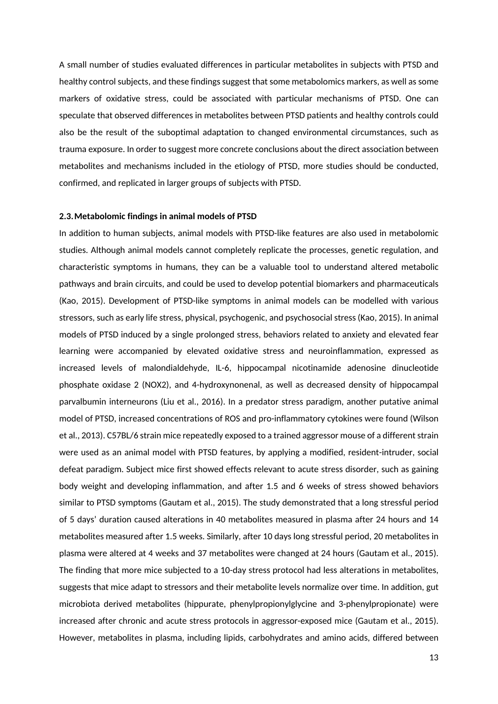A small number of studies evaluated differences in particular metabolites in subjects with PTSD and healthy control subjects, and these findings suggest that some metabolomics markers, as well as some markers of oxidative stress, could be associated with particular mechanisms of PTSD. One can speculate that observed differences in metabolites between PTSD patients and healthy controls could also be the result of the suboptimal adaptation to changed environmental circumstances, such as trauma exposure. In order to suggest more concrete conclusions about the direct association between metabolites and mechanisms included in the etiology of PTSD, more studies should be conducted, confirmed, and replicated in larger groups of subjects with PTSD.

## **2.3.Metabolomic findings in animal models of PTSD**

In addition to human subjects, animal models with PTSD-like features are also used in metabolomic studies. Although animal models cannot completely replicate the processes, genetic regulation, and characteristic symptoms in humans, they can be a valuable tool to understand altered metabolic pathways and brain circuits, and could be used to develop potential biomarkers and pharmaceuticals (Kao, 2015). Development of PTSD-like symptoms in animal models can be modelled with various stressors, such as early life stress, physical, psychogenic, and psychosocial stress (Kao, 2015). In animal models of PTSD induced by a single prolonged stress, behaviors related to anxiety and elevated fear learning were accompanied by elevated oxidative stress and neuroinflammation, expressed as increased levels of malondialdehyde, IL-6, hippocampal nicotinamide adenosine dinucleotide phosphate oxidase 2 (NOX2), and 4-hydroxynonenal, as well as decreased density of hippocampal parvalbumin interneurons (Liu et al., 2016). In a predator stress paradigm, another putative animal model of PTSD, increased concentrations of ROS and pro-inflammatory cytokines were found (Wilson et al., 2013). C57BL/6 strain mice repeatedly exposed to a trained aggressor mouse of a different strain were used as an animal model with PTSD features, by applying a modified, resident-intruder, social defeat paradigm. Subject mice first showed effects relevant to acute stress disorder, such as gaining body weight and developing inflammation, and after 1.5 and 6 weeks of stress showed behaviors similar to PTSD symptoms (Gautam et al., 2015). The study demonstrated that a long stressful period of 5 days' duration caused alterations in 40 metabolites measured in plasma after 24 hours and 14 metabolites measured after 1.5 weeks. Similarly, after 10 days long stressful period, 20 metabolites in plasma were altered at 4 weeks and 37 metabolites were changed at 24 hours (Gautam et al., 2015). The finding that more mice subjected to a 10-day stress protocol had less alterations in metabolites, suggests that mice adapt to stressors and their metabolite levels normalize over time. In addition, gut microbiota derived metabolites (hippurate, phenylpropionylglycine and 3-phenylpropionate) were increased after chronic and acute stress protocols in aggressor-exposed mice (Gautam et al., 2015). However, metabolites in plasma, including lipids, carbohydrates and amino acids, differed between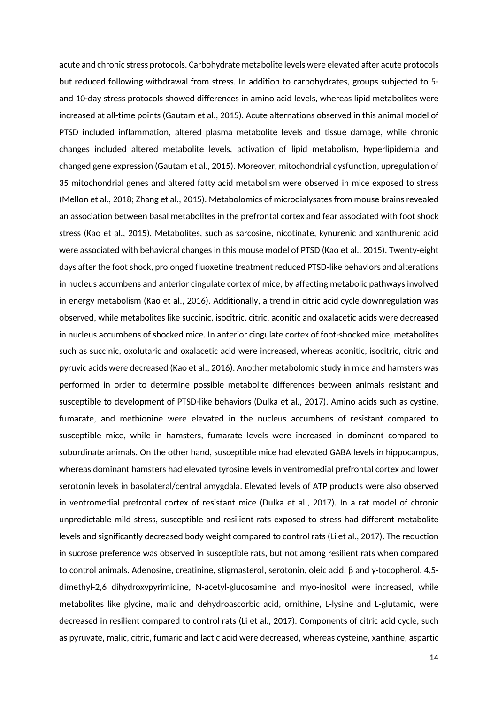acute and chronic stress protocols. Carbohydrate metabolite levels were elevated after acute protocols but reduced following withdrawal from stress. In addition to carbohydrates, groups subjected to 5 and 10-day stress protocols showed differences in amino acid levels, whereas lipid metabolites were increased at all-time points (Gautam et al., 2015). Acute alternations observed in this animal model of PTSD included inflammation, altered plasma metabolite levels and tissue damage, while chronic changes included altered metabolite levels, activation of lipid metabolism, hyperlipidemia and changed gene expression (Gautam et al., 2015). Moreover, mitochondrial dysfunction, upregulation of 35 mitochondrial genes and altered fatty acid metabolism were observed in mice exposed to stress (Mellon et al., 2018; Zhang et al., 2015). Metabolomics of microdialysates from mouse brains revealed an association between basal metabolites in the prefrontal cortex and fear associated with foot shock stress (Kao et al., 2015). Metabolites, such as sarcosine, nicotinate, kynurenic and xanthurenic acid were associated with behavioral changes in this mouse model of PTSD (Kao et al., 2015). Twenty-eight days after the foot shock, prolonged fluoxetine treatment reduced PTSD-like behaviors and alterations in nucleus accumbens and anterior cingulate cortex of mice, by affecting metabolic pathways involved in energy metabolism (Kao et al., 2016). Additionally, a trend in citric acid cycle downregulation was observed, while metabolites like succinic, isocitric, citric, aconitic and oxalacetic acids were decreased in nucleus accumbens of shocked mice. In anterior cingulate cortex of foot-shocked mice, metabolites such as succinic, oxolutaric and oxalacetic acid were increased, whereas aconitic, isocitric, citric and pyruvic acids were decreased (Kao et al., 2016). Another metabolomic study in mice and hamsters was performed in order to determine possible metabolite differences between animals resistant and susceptible to development of PTSD-like behaviors (Dulka et al., 2017). Amino acids such as cystine, fumarate, and methionine were elevated in the nucleus accumbens of resistant compared to susceptible mice, while in hamsters, fumarate levels were increased in dominant compared to subordinate animals. On the other hand, susceptible mice had elevated GABA levels in hippocampus, whereas dominant hamsters had elevated tyrosine levels in ventromedial prefrontal cortex and lower serotonin levels in basolateral/central amygdala. Elevated levels of ATP products were also observed in ventromedial prefrontal cortex of resistant mice (Dulka et al., 2017). In a rat model of chronic unpredictable mild stress, susceptible and resilient rats exposed to stress had different metabolite levels and significantly decreased body weight compared to control rats (Li et al., 2017). The reduction in sucrose preference was observed in susceptible rats, but not among resilient rats when compared to control animals. Adenosine, creatinine, stigmasterol, serotonin, oleic acid, β and γ-tocopherol, 4,5 dimethyl-2,6 dihydroxypyrimidine, N-acetyl-glucosamine and myo-inositol were increased, while metabolites like glycine, malic and dehydroascorbic acid, ornithine, L-lysine and L-glutamic, were decreased in resilient compared to control rats (Li et al., 2017). Components of citric acid cycle, such as pyruvate, malic, citric, fumaric and lactic acid were decreased, whereas cysteine, xanthine, aspartic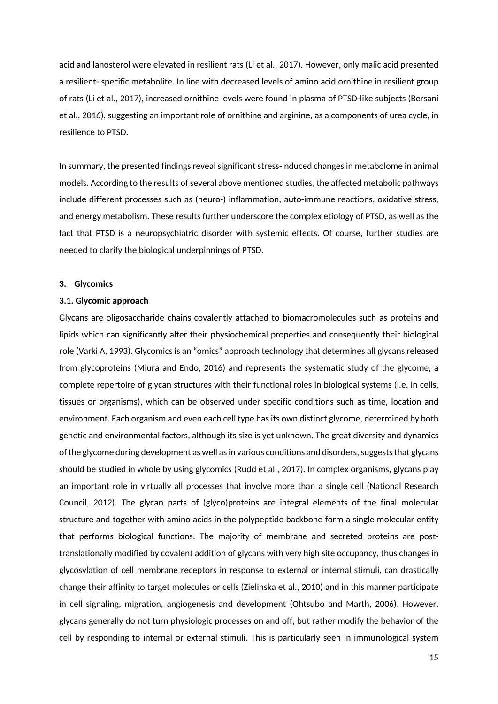acid and lanosterol were elevated in resilient rats (Li et al., 2017). However, only malic acid presented a resilient- specific metabolite. In line with decreased levels of amino acid ornithine in resilient group of rats (Li et al., 2017), increased ornithine levels were found in plasma of PTSD-like subjects (Bersani et al., 2016), suggesting an important role of ornithine and arginine, as a components of urea cycle, in resilience to PTSD.

In summary, the presented findings reveal significant stress-induced changes in metabolome in animal models. According to the results of several above mentioned studies, the affected metabolic pathways include different processes such as (neuro-) inflammation, auto-immune reactions, oxidative stress, and energy metabolism. These results further underscore the complex etiology of PTSD, as well as the fact that PTSD is a neuropsychiatric disorder with systemic effects. Of course, further studies are needed to clarify the biological underpinnings of PTSD.

## **3. Glycomics**

## **3.1. Glycomic approach**

Glycans are oligosaccharide chains covalently attached to biomacromolecules such as proteins and lipids which can significantly alter their physiochemical properties and consequently their biological role (Varki A, 1993). Glycomics is an "omics" approach technology that determines all glycans released from glycoproteins (Miura and Endo, 2016) and represents the systematic study of the glycome, a complete repertoire of glycan structures with their functional roles in biological systems (i.e. in cells, tissues or organisms), which can be observed under specific conditions such as time, location and environment. Each organism and even each cell type has its own distinct glycome, determined by both genetic and environmental factors, although its size is yet unknown. The great diversity and dynamics of the glycome during development as well as in various conditions and disorders, suggests that glycans should be studied in whole by using glycomics (Rudd et al., 2017). In complex organisms, glycans play an important role in virtually all processes that involve more than a single cell (National Research Council, 2012). The glycan parts of (glyco)proteins are integral elements of the final molecular structure and together with amino acids in the polypeptide backbone form a single molecular entity that performs biological functions. The majority of membrane and secreted proteins are posttranslationally modified by covalent addition of glycans with very high site occupancy, thus changes in glycosylation of cell membrane receptors in response to external or internal stimuli, can drastically change their affinity to target molecules or cells (Zielinska et al., 2010) and in this manner participate in cell signaling, migration, angiogenesis and development (Ohtsubo and Marth, 2006). However, glycans generally do not turn physiologic processes on and off, but rather modify the behavior of the cell by responding to internal or external stimuli. This is particularly seen in immunological system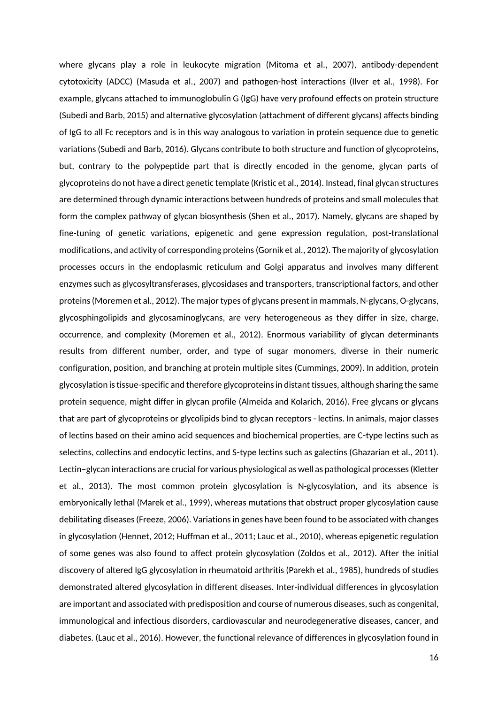where glycans play a role in leukocyte migration (Mitoma et al., 2007), antibody-dependent cytotoxicity (ADCC) (Masuda et al., 2007) and pathogen-host interactions (Ilver et al., 1998). For example, glycans attached to immunoglobulin G (IgG) have very profound effects on protein structure (Subedi and Barb, 2015) and alternative glycosylation (attachment of different glycans) affects binding of IgG to all Fc receptors and is in this way analogous to variation in protein sequence due to genetic variations (Subedi and Barb, 2016). Glycans contribute to both structure and function of glycoproteins, but, contrary to the polypeptide part that is directly encoded in the genome, glycan parts of glycoproteins do not have a direct genetic template (Kristic et al., 2014). Instead, final glycan structures are determined through dynamic interactions between hundreds of proteins and small molecules that form the complex pathway of glycan biosynthesis (Shen et al., 2017). Namely, glycans are shaped by fine-tuning of genetic variations, epigenetic and gene expression regulation, post-translational modifications, and activity of corresponding proteins (Gornik et al., 2012). The majority of glycosylation processes occurs in the endoplasmic reticulum and Golgi apparatus and involves many different enzymes such as glycosyltransferases, glycosidases and transporters, transcriptional factors, and other proteins (Moremen et al., 2012). The major types of glycans present in mammals, N-glycans, O-glycans, glycosphingolipids and glycosaminoglycans, are very heterogeneous as they differ in size, charge, occurrence, and complexity (Moremen et al., 2012). Enormous variability of glycan determinants results from different number, order, and type of sugar monomers, diverse in their numeric configuration, position, and branching at protein multiple sites (Cummings, 2009). In addition, protein glycosylation is tissue-specific and therefore glycoproteins in distant tissues, although sharing the same protein sequence, might differ in glycan profile (Almeida and Kolarich, 2016). Free glycans or glycans that are part of glycoproteins or glycolipids bind to glycan receptors - lectins. In animals, major classes of lectins based on their amino acid sequences and biochemical properties, are C-type lectins such as selectins, collectins and endocytic lectins, and S-type lectins such as galectins (Ghazarian et al., 2011). Lectin–glycan interactions are crucial for various physiological as well as pathological processes (Kletter et al., 2013). The most common protein glycosylation is N-glycosylation, and its absence is embryonically lethal (Marek et al., 1999), whereas mutations that obstruct proper glycosylation cause debilitating diseases (Freeze, 2006). Variations in genes have been found to be associated with changes in glycosylation (Hennet, 2012; Huffman et al., 2011; Lauc et al., 2010), whereas epigenetic regulation of some genes was also found to affect protein glycosylation (Zoldos et al., 2012). After the initial discovery of altered IgG glycosylation in rheumatoid arthritis (Parekh et al., 1985), hundreds of studies demonstrated altered glycosylation in different diseases. Inter-individual differences in glycosylation are important and associated with predisposition and course of numerous diseases, such as congenital, immunological and infectious disorders, cardiovascular and neurodegenerative diseases, cancer, and diabetes. (Lauc et al., 2016). However, the functional relevance of differences in glycosylation found in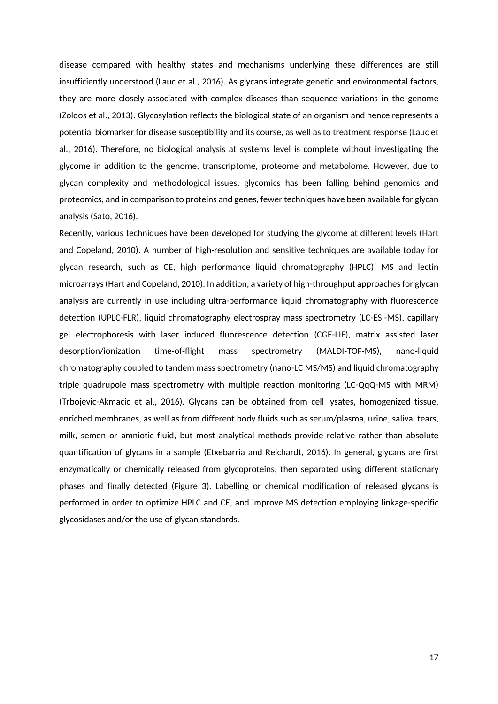disease compared with healthy states and mechanisms underlying these differences are still insufficiently understood (Lauc et al., 2016). As glycans integrate genetic and environmental factors, they are more closely associated with complex diseases than sequence variations in the genome (Zoldos et al., 2013). Glycosylation reflects the biological state of an organism and hence represents a potential biomarker for disease susceptibility and its course, as well as to treatment response (Lauc et al., 2016). Therefore, no biological analysis at systems level is complete without investigating the glycome in addition to the genome, transcriptome, proteome and metabolome. However, due to glycan complexity and methodological issues, glycomics has been falling behind genomics and proteomics, and in comparison to proteins and genes, fewer techniques have been available for glycan analysis (Sato, 2016).

Recently, various techniques have been developed for studying the glycome at different levels (Hart and Copeland, 2010). A number of high-resolution and sensitive techniques are available today for glycan research, such as CE, high performance liquid chromatography (HPLC), MS and lectin microarrays (Hart and Copeland, 2010). In addition, a variety of high-throughput approaches for glycan analysis are currently in use including ultra-performance liquid chromatography with fluorescence detection (UPLC-FLR), liquid chromatography electrospray mass spectrometry (LC-ESI-MS), capillary gel electrophoresis with laser induced fluorescence detection (CGE-LIF), matrix assisted laser desorption/ionization time-of-flight mass spectrometry (MALDI-TOF-MS), nano-liquid chromatography coupled to tandem mass spectrometry (nano-LC MS/MS) and liquid chromatography triple quadrupole mass spectrometry with multiple reaction monitoring (LC-QqQ-MS with MRM) (Trbojevic-Akmacic et al., 2016). Glycans can be obtained from cell lysates, homogenized tissue, enriched membranes, as well as from different body fluids such as serum/plasma, urine, saliva, tears, milk, semen or amniotic fluid, but most analytical methods provide relative rather than absolute quantification of glycans in a sample (Etxebarria and Reichardt, 2016). In general, glycans are first enzymatically or chemically released from glycoproteins, then separated using different stationary phases and finally detected (Figure 3). Labelling or chemical modification of released glycans is performed in order to optimize HPLC and CE, and improve MS detection employing linkage-specific glycosidases and/or the use of glycan standards.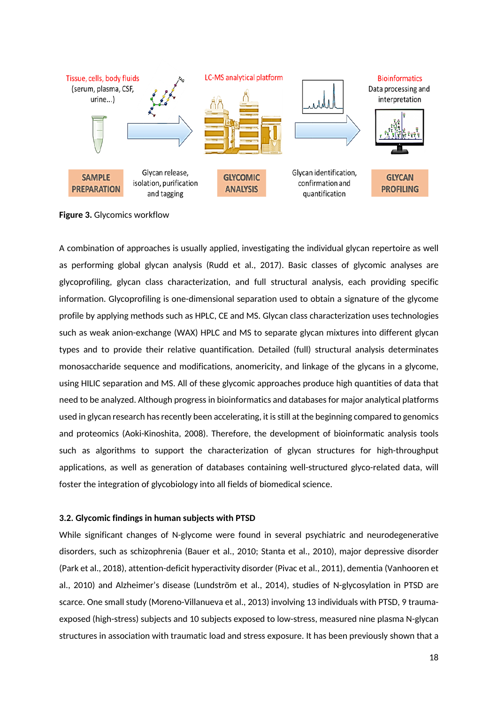

**Figure 3.** Glycomics workflow

A combination of approaches is usually applied, investigating the individual glycan repertoire as well as performing global glycan analysis (Rudd et al., 2017). Basic classes of glycomic analyses are glycoprofiling, glycan class characterization, and full structural analysis, each providing specific information. Glycoprofiling is one-dimensional separation used to obtain a signature of the glycome profile by applying methods such as HPLC, CE and MS. Glycan class characterization uses technologies such as weak anion-exchange (WAX) HPLC and MS to separate glycan mixtures into different glycan types and to provide their relative quantification. Detailed (full) structural analysis determinates monosaccharide sequence and modifications, anomericity, and linkage of the glycans in a glycome, using HILIC separation and MS. All of these glycomic approaches produce high quantities of data that need to be analyzed. Although progress in bioinformatics and databases for major analytical platforms used in glycan research has recently been accelerating, it is still at the beginning compared to genomics and proteomics (Aoki-Kinoshita, 2008). Therefore, the development of bioinformatic analysis tools such as algorithms to support the characterization of glycan structures for high-throughput applications, as well as generation of databases containing well-structured glyco-related data, will foster the integration of glycobiology into all fields of biomedical science.

# **3.2. Glycomic findings in human subjects with PTSD**

While significant changes of N-glycome were found in several psychiatric and neurodegenerative disorders, such as schizophrenia (Bauer et al., 2010; Stanta et al., 2010), major depressive disorder (Park et al., 2018), attention-deficit hyperactivity disorder (Pivac et al., 2011), dementia (Vanhooren et al., 2010) and Alzheimer's disease (Lundström et al., 2014), studies of N-glycosylation in PTSD are scarce. One small study (Moreno-Villanueva et al., 2013) involving 13 individuals with PTSD, 9 traumaexposed (high-stress) subjects and 10 subjects exposed to low-stress, measured nine plasma N-glycan structures in association with traumatic load and stress exposure. It has been previously shown that a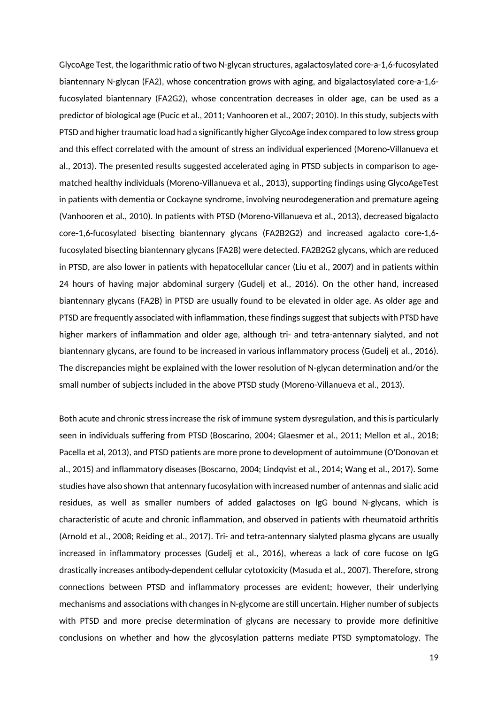GlycoAge Test, the logarithmic ratio of two N-glycan structures, agalactosylated core-a-1,6-fucosylated biantennary N-glycan (FA2), whose concentration grows with aging, and bigalactosylated core-a-1,6 fucosylated biantennary (FA2G2), whose concentration decreases in older age, can be used as a predictor of biological age (Pucic et al., 2011; Vanhooren et al., 2007; 2010). In this study, subjects with PTSD and higher traumatic load had a significantly higher GlycoAge index compared to low stress group and this effect correlated with the amount of stress an individual experienced (Moreno-Villanueva et al., 2013). The presented results suggested accelerated aging in PTSD subjects in comparison to agematched healthy individuals (Moreno-Villanueva et al., 2013), supporting findings using GlycoAgeTest in patients with dementia or Cockayne syndrome, involving neurodegeneration and premature ageing (Vanhooren et al., 2010). In patients with PTSD (Moreno-Villanueva et al., 2013), decreased bigalacto core-1,6-fucosylated bisecting biantennary glycans (FA2B2G2) and increased agalacto core-1,6 fucosylated bisecting biantennary glycans (FA2B) were detected. FA2B2G2 glycans, which are reduced in PTSD, are also lower in patients with hepatocellular cancer (Liu et al., 2007) and in patients within 24 hours of having major abdominal surgery (Gudelj et al., 2016). On the other hand, increased biantennary glycans (FA2B) in PTSD are usually found to be elevated in older age. As older age and PTSD are frequently associated with inflammation, these findings suggest that subjects with PTSD have higher markers of inflammation and older age, although tri- and tetra-antennary sialyted, and not biantennary glycans, are found to be increased in various inflammatory process (Gudelj et al., 2016). The discrepancies might be explained with the lower resolution of N-glycan determination and/or the small number of subjects included in the above PTSD study (Moreno-Villanueva et al., 2013).

Both acute and chronic stress increase the risk of immune system dysregulation, and this is particularly seen in individuals suffering from PTSD (Boscarino, 2004; Glaesmer et al., 2011; Mellon et al., 2018; Pacella et al, 2013), and PTSD patients are more prone to development of autoimmune (O'Donovan et al., 2015) and inflammatory diseases (Boscarno, 2004; Lindqvist et al., 2014; Wang et al., 2017). Some studies have also shown that antennary fucosylation with increased number of antennas and sialic acid residues, as well as smaller numbers of added galactoses on IgG bound N-glycans, which is characteristic of acute and chronic inflammation, and observed in patients with rheumatoid arthritis (Arnold et al., 2008; Reiding et al., 2017). Tri- and tetra-antennary sialyted plasma glycans are usually increased in inflammatory processes (Gudelj et al., 2016), whereas a lack of core fucose on IgG drastically increases antibody-dependent cellular cytotoxicity (Masuda et al., 2007). Therefore, strong connections between PTSD and inflammatory processes are evident; however, their underlying mechanisms and associations with changes in N-glycome are still uncertain. Higher number of subjects with PTSD and more precise determination of glycans are necessary to provide more definitive conclusions on whether and how the glycosylation patterns mediate PTSD symptomatology. The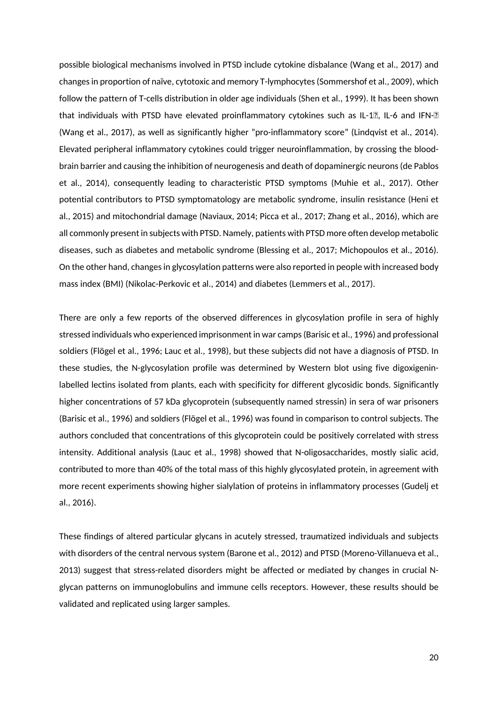possible biological mechanisms involved in PTSD include cytokine disbalance (Wang et al., 2017) and changes in proportion of naïve, cytotoxic and memory T-lymphocytes (Sommershof et al., 2009), which follow the pattern of T-cells distribution in older age individuals (Shen et al., 1999). It has been shown that individuals with PTSD have elevated proinflammatory cytokines such as IL-12, IL-6 and IFN-2 (Wang et al., 2017), as well as significantly higher "pro-inflammatory score" (Lindqvist et al., 2014). Elevated peripheral inflammatory cytokines could trigger neuroinflammation, by crossing the bloodbrain barrier and causing the inhibition of neurogenesis and death of dopaminergic neurons (de Pablos et al., 2014), consequently leading to characteristic PTSD symptoms (Muhie et al., 2017). Other potential contributors to PTSD symptomatology are metabolic syndrome, insulin resistance (Heni et al., 2015) and mitochondrial damage (Naviaux, 2014; Picca et al., 2017; Zhang et al., 2016), which are all commonly present in subjects with PTSD. Namely, patients with PTSD more often develop metabolic diseases, such as diabetes and metabolic syndrome (Blessing et al., 2017; Michopoulos et al., 2016). On the other hand, changes in glycosylation patterns were also reported in people with increased body mass index (BMI) (Nikolac-Perkovic et al., 2014) and diabetes (Lemmers et al., 2017).

There are only a few reports of the observed differences in glycosylation profile in sera of highly stressed individuals who experienced imprisonment in war camps (Barisic et al., 1996) and professional soldiers (Flögel et al., 1996; Lauc et al., 1998), but these subjects did not have a diagnosis of PTSD. In these studies, the N-glycosylation profile was determined by Western blot using five digoxigeninlabelled lectins isolated from plants, each with specificity for different glycosidic bonds. Significantly higher concentrations of 57 kDa glycoprotein (subsequently named stressin) in sera of war prisoners (Barisic et al., 1996) and soldiers (Flögel et al., 1996) was found in comparison to control subjects. The authors concluded that concentrations of this glycoprotein could be positively correlated with stress intensity. Additional analysis (Lauc et al., 1998) showed that N-oligosaccharides, mostly sialic acid, contributed to more than 40% of the total mass of this highly glycosylated protein, in agreement with more recent experiments showing higher sialylation of proteins in inflammatory processes (Gudelj et al., 2016).

These findings of altered particular glycans in acutely stressed, traumatized individuals and subjects with disorders of the central nervous system (Barone et al., 2012) and PTSD (Moreno-Villanueva et al., 2013) suggest that stress-related disorders might be affected or mediated by changes in crucial Nglycan patterns on immunoglobulins and immune cells receptors. However, these results should be validated and replicated using larger samples.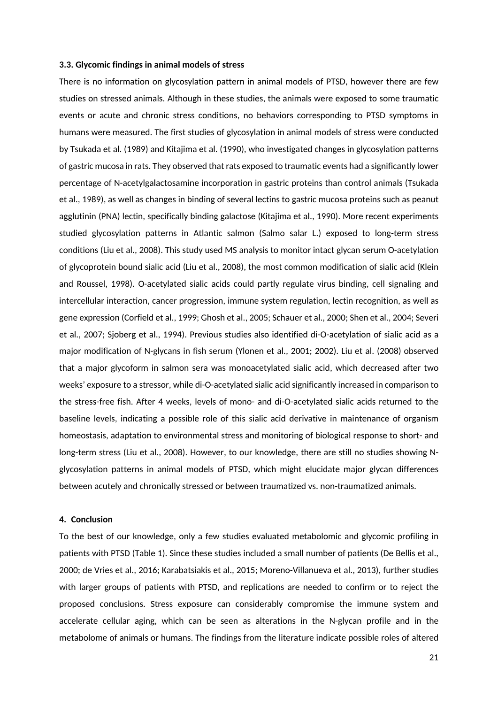#### **3.3. Glycomic findings in animal models of stress**

There is no information on glycosylation pattern in animal models of PTSD, however there are few studies on stressed animals. Although in these studies, the animals were exposed to some traumatic events or acute and chronic stress conditions, no behaviors corresponding to PTSD symptoms in humans were measured. The first studies of glycosylation in animal models of stress were conducted by Tsukada et al. (1989) and Kitajima et al. (1990), who investigated changes in glycosylation patterns of gastric mucosa in rats. They observed that rats exposed to traumatic events had a significantly lower percentage of N-acetylgalactosamine incorporation in gastric proteins than control animals (Tsukada et al., 1989), as well as changes in binding of several lectins to gastric mucosa proteins such as peanut agglutinin (PNA) lectin, specifically binding galactose (Kitajima et al., 1990). More recent experiments studied glycosylation patterns in Atlantic salmon (Salmo salar L.) exposed to long-term stress conditions (Liu et al., 2008). This study used MS analysis to monitor intact glycan serum O-acetylation of glycoprotein bound sialic acid (Liu et al., 2008), the most common modification of sialic acid (Klein and Roussel, 1998). O-acetylated sialic acids could partly regulate virus binding, cell signaling and intercellular interaction, cancer progression, immune system regulation, lectin recognition, as well as gene expression (Corfield et al., 1999; Ghosh et al., 2005; Schauer et al., 2000; Shen et al., 2004; Severi et al., 2007; Sjoberg et al., 1994). Previous studies also identified di-O-acetylation of sialic acid as a major modification of N-glycans in fish serum (Ylonen et al., 2001; 2002). Liu et al. (2008) observed that a major glycoform in salmon sera was monoacetylated sialic acid, which decreased after two weeks' exposure to a stressor, while di-O-acetylated sialic acid significantly increased in comparison to the stress-free fish. After 4 weeks, levels of mono- and di-O-acetylated sialic acids returned to the baseline levels, indicating a possible role of this sialic acid derivative in maintenance of organism homeostasis, adaptation to environmental stress and monitoring of biological response to short- and long-term stress (Liu et al., 2008). However, to our knowledge, there are still no studies showing Nglycosylation patterns in animal models of PTSD, which might elucidate major glycan differences between acutely and chronically stressed or between traumatized vs. non-traumatized animals.

## **4. Conclusion**

To the best of our knowledge, only a few studies evaluated metabolomic and glycomic profiling in patients with PTSD (Table 1). Since these studies included a small number of patients (De Bellis et al., 2000; de Vries et al., 2016; Karabatsiakis et al., 2015; Moreno-Villanueva et al., 2013), further studies with larger groups of patients with PTSD, and replications are needed to confirm or to reject the proposed conclusions. Stress exposure can considerably compromise the immune system and accelerate cellular aging, which can be seen as alterations in the N-glycan profile and in the metabolome of animals or humans. The findings from the literature indicate possible roles of altered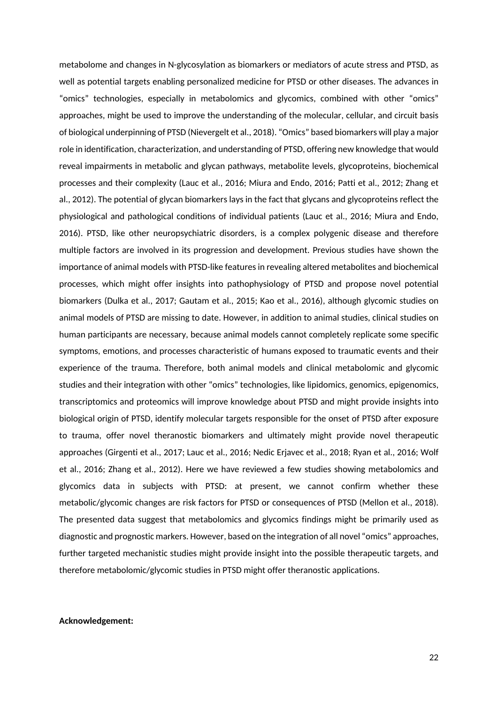metabolome and changes in N-glycosylation as biomarkers or mediators of acute stress and PTSD, as well as potential targets enabling personalized medicine for PTSD or other diseases. The advances in "omics" technologies, especially in metabolomics and glycomics, combined with other "omics" approaches, might be used to improve the understanding of the molecular, cellular, and circuit basis of biological underpinning of PTSD (Nievergelt et al., 2018). "Omics" based biomarkers will play a major role in identification, characterization, and understanding of PTSD, offering new knowledge that would reveal impairments in metabolic and glycan pathways, metabolite levels, glycoproteins, biochemical processes and their complexity (Lauc et al., 2016; Miura and Endo, 2016; Patti et al., 2012; Zhang et al., 2012). The potential of glycan biomarkers lays in the fact that glycans and glycoproteins reflect the physiological and pathological conditions of individual patients (Lauc et al., 2016; Miura and Endo, 2016). PTSD, like other neuropsychiatric disorders, is a complex polygenic disease and therefore multiple factors are involved in its progression and development. Previous studies have shown the importance of animal models with PTSD-like features in revealing altered metabolites and biochemical processes, which might offer insights into pathophysiology of PTSD and propose novel potential biomarkers (Dulka et al., 2017; Gautam et al., 2015; Kao et al., 2016), although glycomic studies on animal models of PTSD are missing to date. However, in addition to animal studies, clinical studies on human participants are necessary, because animal models cannot completely replicate some specific symptoms, emotions, and processes characteristic of humans exposed to traumatic events and their experience of the trauma. Therefore, both animal models and clinical metabolomic and glycomic studies and their integration with other "omics" technologies, like lipidomics, genomics, epigenomics, transcriptomics and proteomics will improve knowledge about PTSD and might provide insights into biological origin of PTSD, identify molecular targets responsible for the onset of PTSD after exposure to trauma, offer novel theranostic biomarkers and ultimately might provide novel therapeutic approaches (Girgenti et al., 2017; Lauc et al., 2016; Nedic Erjavec et al., 2018; Ryan et al., 2016; Wolf et al., 2016; Zhang et al., 2012). Here we have reviewed a few studies showing metabolomics and glycomics data in subjects with PTSD: at present, we cannot confirm whether these metabolic/glycomic changes are risk factors for PTSD or consequences of PTSD (Mellon et al., 2018). The presented data suggest that metabolomics and glycomics findings might be primarily used as diagnostic and prognostic markers. However, based on the integration of all novel "omics" approaches, further targeted mechanistic studies might provide insight into the possible therapeutic targets, and therefore metabolomic/glycomic studies in PTSD might offer theranostic applications.

### **Acknowledgement:**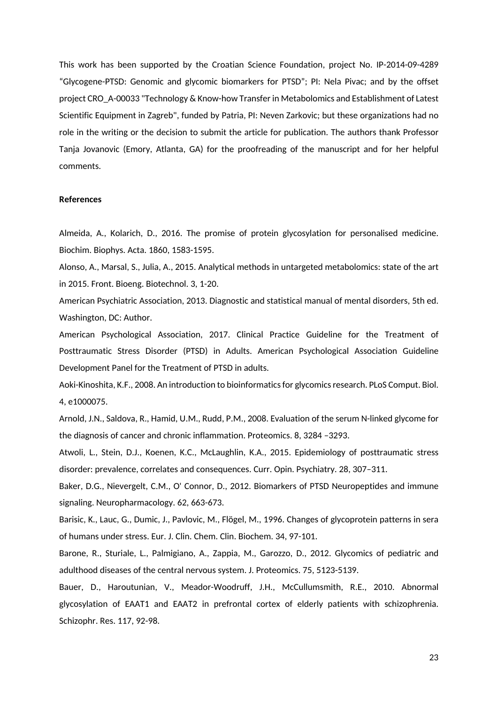This work has been supported by the Croatian Science Foundation, project No. IP-2014-09-4289 "Glycogene-PTSD: Genomic and glycomic biomarkers for PTSD"; PI: Nela Pivac; and by the offset project CRO\_A-00033 "Technology & Know-how Transfer in Metabolomics and Establishment of Latest Scientific Equipment in Zagreb", funded by Patria, PI: Neven Zarkovic; but these organizations had no role in the writing or the decision to submit the article for publication. The authors thank Professor Tanja Jovanovic (Emory, Atlanta, GA) for the proofreading of the manuscript and for her helpful comments.

#### **References**

Almeida, A., Kolarich, D., 2016. The promise of protein glycosylation for personalised medicine. Biochim. Biophys. Acta. 1860, 1583-1595.

Alonso, A., Marsal, S., Julia, A., 2015. Analytical methods in untargeted metabolomics: state of the art in 2015. Front. Bioeng. Biotechnol. 3, 1-20.

American Psychiatric Association, 2013. Diagnostic and statistical manual of mental disorders, 5th ed. Washington, DC: Author.

American Psychological Association, 2017. Clinical Practice Guideline for the Treatment of Posttraumatic Stress Disorder (PTSD) in Adults. American Psychological Association Guideline Development Panel for the Treatment of PTSD in adults.

Aoki-Kinoshita, K.F., 2008. An introduction to bioinformatics for glycomics research. PLoS Comput. Biol. 4, e1000075.

Arnold, J.N., Saldova, R., Hamid, U.M., Rudd, P.M., 2008. Evaluation of the serum N-linked glycome for the diagnosis of cancer and chronic inflammation. Proteomics. 8, 3284 –3293.

Atwoli, L., Stein, D.J., Koenen, K.C., McLaughlin, K.A., 2015. Epidemiology of posttraumatic stress disorder: prevalence, correlates and consequences. Curr. Opin. Psychiatry. 28, 307–311.

Baker, D.G., Nievergelt, C.M., O' Connor, D., 2012. Biomarkers of PTSD Neuropeptides and immune signaling. Neuropharmacology. 62, 663-673.

Barisic, K., Lauc, G., Dumic, J., Pavlovic, M., Flögel, M., 1996. Changes of glycoprotein patterns in sera of humans under stress. Eur. J. Clin. Chem. Clin. Biochem. 34, 97-101.

Barone, R., Sturiale, L., Palmigiano, A., Zappia, M., Garozzo, D., 2012. Glycomics of pediatric and adulthood diseases of the central nervous system. J. Proteomics. 75, 5123-5139.

Bauer, D., Haroutunian, V., Meador-Woodruff, J.H., McCullumsmith, R.E., 2010. Abnormal glycosylation of EAAT1 and EAAT2 in prefrontal cortex of elderly patients with schizophrenia. Schizophr. Res. 117, 92-98.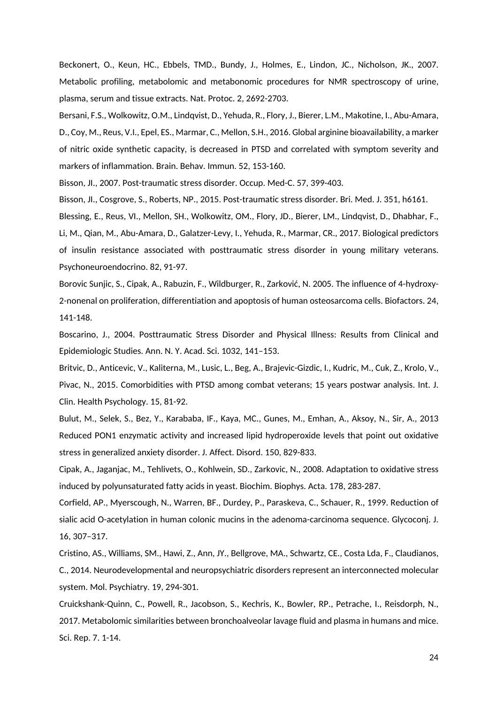Beckonert, O., Keun, HC., Ebbels, TMD., Bundy, J., Holmes, E., Lindon, JC., Nicholson, JK., 2007. Metabolic profiling, metabolomic and metabonomic procedures for NMR spectroscopy of urine, plasma, serum and tissue extracts. Nat. Protoc. 2, 2692-2703.

Bersani, F.S., Wolkowitz, O.M., Lindqvist, D., Yehuda, R., Flory, J., Bierer, L.M., Makotine, I., Abu-Amara, D., Coy, M., Reus, V.I., Epel, ES., Marmar, C., Mellon, S.H., 2016. Global arginine bioavailability, a marker of nitric oxide synthetic capacity, is decreased in PTSD and correlated with symptom severity and markers of inflammation. Brain. Behav. Immun. 52, 153-160.

Bisson, JI., 2007. Post-traumatic stress disorder. Occup. Med-C. 57, 399-403.

Bisson, JI., Cosgrove, S., Roberts, NP., 2015. Post-traumatic stress disorder. Bri. Med. J. 351, h6161.

Blessing, E., Reus, VI., Mellon, SH., Wolkowitz, OM., Flory, JD., Bierer, LM., Lindqvist, D., Dhabhar, F., Li, M., Qian, M., Abu-Amara, D., Galatzer-Levy, I., Yehuda, R., Marmar, CR., 2017. Biological predictors of insulin resistance associated with posttraumatic stress disorder in young military veterans. Psychoneuroendocrino. 82, 91-97.

Borovic Sunjic, S., Cipak, A., Rabuzin, F., Wildburger, R., Zarković, N. 2005. The influence of 4-hydroxy-2-nonenal on proliferation, differentiation and apoptosis of human osteosarcoma cells. Biofactors. 24, 141-148.

Boscarino, J., 2004. Posttraumatic Stress Disorder and Physical Illness: Results from Clinical and Epidemiologic Studies. Ann. N. Y. Acad. Sci. 1032, 141–153.

Britvic, D., Anticevic, V., Kaliterna, M., Lusic, L., Beg, A., Brajevic-Gizdic, I., Kudric, M., Cuk, Z., Krolo, V., Pivac, N., 2015. Comorbidities with PTSD among combat veterans; 15 years postwar analysis. Int. J. Clin. Health Psychology. 15, 81-92.

Bulut, M., Selek, S., Bez, Y., Karababa, IF., Kaya, MC., Gunes, M., Emhan, A., Aksoy, N., Sir, A., 2013 Reduced PON1 enzymatic activity and increased lipid hydroperoxide levels that point out oxidative stress in generalized anxiety disorder. J. Affect. Disord. 150, 829-833.

Cipak, A., Jaganjac, M., Tehlivets, O., Kohlwein, SD., Zarkovic, N., 2008. Adaptation to oxidative stress induced by polyunsaturated fatty acids in yeast. Biochim. Biophys. Acta. 178, 283-287.

Corfield, AP., Myerscough, N., Warren, BF., Durdey, P., Paraskeva, C., Schauer, R., 1999. Reduction of sialic acid O-acetylation in human colonic mucins in the adenoma-carcinoma sequence. Glycoconj. J. 16, 307–317.

Cristino, AS., Williams, SM., Hawi, Z., Ann, JY., Bellgrove, MA., Schwartz, CE., Costa Lda, F., Claudianos, C., 2014. Neurodevelopmental and neuropsychiatric disorders represent an interconnected molecular system. Mol. Psychiatry. 19, 294-301.

Cruickshank-Quinn, C., Powell, R., Jacobson, S., Kechris, K., Bowler, RP., Petrache, I., Reisdorph, N., 2017. Metabolomic similarities between bronchoalveolar lavage fluid and plasma in humans and mice. Sci. Rep. 7. 1-14.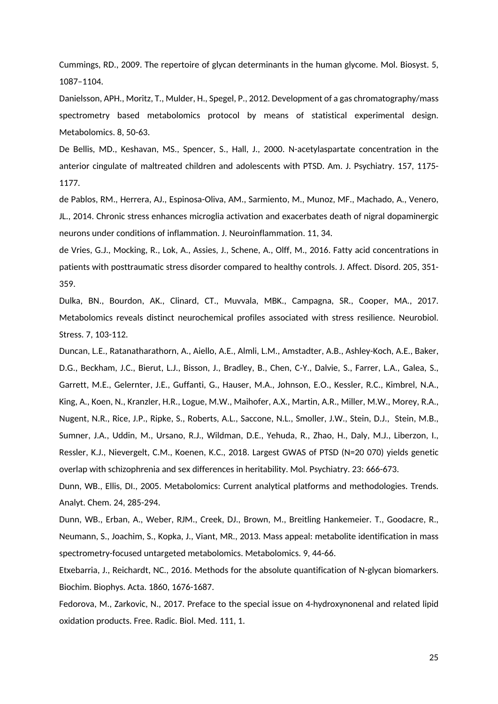Cummings, RD., 2009. The repertoire of glycan determinants in the human glycome. Mol. Biosyst. 5, 1087–1104.

Danielsson, APH., Moritz, T., Mulder, H., Spegel, P., 2012. Development of a gas chromatography/mass spectrometry based metabolomics protocol by means of statistical experimental design. Metabolomics. 8, 50-63.

De Bellis, MD., Keshavan, MS., Spencer, S., Hall, J., 2000. N-acetylaspartate concentration in the anterior cingulate of maltreated children and adolescents with PTSD. Am. J. Psychiatry. 157, 1175- 1177.

de Pablos, RM., Herrera, AJ., Espinosa-Oliva, AM., Sarmiento, M., Munoz, MF., Machado, A., Venero, JL., 2014. Chronic stress enhances microglia activation and exacerbates death of nigral dopaminergic neurons under conditions of inflammation. J. Neuroinflammation. 11, 34.

de Vries, G.J., Mocking, R., Lok, A., Assies, J., Schene, A., Olff, M., 2016. Fatty acid concentrations in patients with posttraumatic stress disorder compared to healthy controls. J. Affect. Disord. 205, 351- 359.

Dulka, BN., Bourdon, AK., Clinard, CT., Muvvala, MBK., Campagna, SR., Cooper, MA., 2017. Metabolomics reveals distinct neurochemical profiles associated with stress resilience. Neurobiol. Stress. 7, 103-112.

Duncan, L.E., Ratanatharathorn, A., Aiello, A.E., Almli, L.M., Amstadter, A.B., Ashley-Koch, A.E., Baker, D.G., Beckham, J.C., Bierut, L.J., Bisson, J., Bradley, B., Chen, C-Y., Dalvie, S., Farrer, L.A., Galea, S., Garrett, M.E., Gelernter, J.E., Guffanti, G., Hauser, M.A., Johnson, E.O., Kessler, R.C., Kimbrel, N.A., King, A., Koen, N., Kranzler, H.R., Logue, M.W., Maihofer, A.X., Martin, A.R., Miller, M.W., Morey, R.A., Nugent, N.R., Rice, J.P., Ripke, S., Roberts, A.L., Saccone, N.L., Smoller, J.W., Stein, D.J., Stein, M.B., Sumner, J.A., Uddin, M., Ursano, R.J., Wildman, D.E., Yehuda, R., Zhao, H., Daly, M.J., Liberzon, I., Ressler, K.J., Nievergelt, C.M., Koenen, K.C., 2018. Largest GWAS of PTSD (N=20 070) yields genetic overlap with schizophrenia and sex differences in heritability. Mol. Psychiatry. 23: 666-673.

Dunn, WB., Ellis, DI., 2005. Metabolomics: Current analytical platforms and methodologies. Trends. Analyt. Chem. 24, 285-294.

Dunn, WB., Erban, A., Weber, RJM., Creek, DJ., Brown, M., Breitling Hankemeier. T., Goodacre, R., Neumann, S., Joachim, S., Kopka, J., Viant, MR., 2013. Mass appeal: metabolite identification in mass spectrometry-focused untargeted metabolomics. Metabolomics. 9, 44-66.

Etxebarria, J., Reichardt, NC., 2016. Methods for the absolute quantification of N-glycan biomarkers. Biochim. Biophys. Acta. 1860, 1676-1687.

Fedorova, M., Zarkovic, N., 2017. Preface to the special issue on 4-hydroxynonenal and related lipid oxidation products. Free. Radic. Biol. Med. 111, 1.

25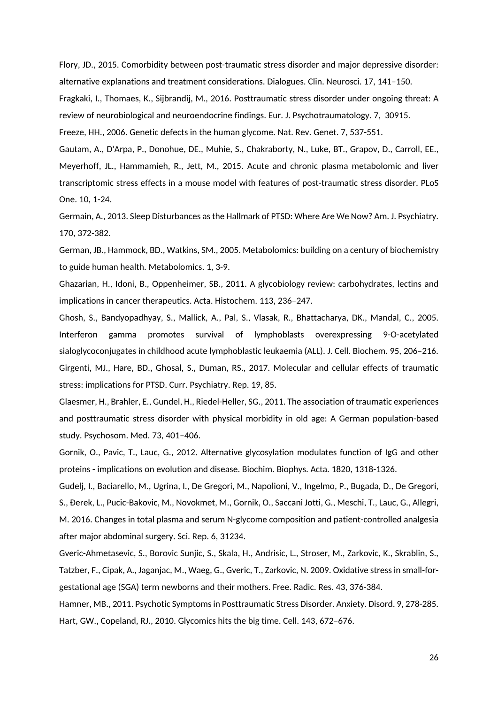Flory, JD., 2015. Comorbidity between post-traumatic stress disorder and major depressive disorder: alternative explanations and treatment considerations. Dialogues. Clin. Neurosci. 17, 141–150.

Fragkaki, I., Thomaes, K., Sijbrandij, M., 2016. Posttraumatic stress disorder under ongoing threat: A review of neurobiological and neuroendocrine findings. Eur. J. Psychotraumatology. 7, 30915.

Freeze, HH., 2006. Genetic defects in the human glycome. Nat. Rev. Genet. 7, 537-551.

Gautam, A., D'Arpa, P., Donohue, DE., Muhie, S., Chakraborty, N., Luke, BT., Grapov, D., Carroll, EE., Meyerhoff, JL., Hammamieh, R., Jett, M., 2015. Acute and chronic plasma metabolomic and liver transcriptomic stress effects in a mouse model with features of post-traumatic stress disorder. PLoS One. 10, 1-24.

Germain, A., 2013. Sleep Disturbances as the Hallmark of PTSD: Where Are We Now? Am. J. Psychiatry. 170, 372-382.

German, JB., Hammock, BD., Watkins, SM., 2005. Metabolomics: building on a century of biochemistry to guide human health. Metabolomics. 1, 3-9.

Ghazarian, H., Idoni, B., Oppenheimer, SB., 2011. A glycobiology review: carbohydrates, lectins and implications in cancer therapeutics. Acta. Histochem. 113, 236–247.

Ghosh, S., Bandyopadhyay, S., Mallick, A., Pal, S., Vlasak, R., Bhattacharya, DK., Mandal, C., 2005. Interferon gamma promotes survival of lymphoblasts overexpressing 9-O-acetylated sialoglycoconjugates in childhood acute lymphoblastic leukaemia (ALL). J. Cell. Biochem. 95, 206–216. Girgenti, MJ., Hare, BD., Ghosal, S., Duman, RS., 2017. Molecular and cellular effects of traumatic stress: implications for PTSD. Curr. Psychiatry. Rep. 19, 85.

Glaesmer, H., Brahler, E., Gundel, H., Riedel-Heller, SG., 2011. The association of traumatic experiences and posttraumatic stress disorder with physical morbidity in old age: A German population-based study. Psychosom. Med. 73, 401–406.

Gornik, O., Pavic, T., Lauc, G., 2012. Alternative glycosylation modulates function of IgG and other proteins - implications on evolution and disease. Biochim. Biophys. Acta. 1820, 1318-1326.

Gudelj, I., Baciarello, M., Ugrina, I., De Gregori, M., Napolioni, V., Ingelmo, P., Bugada, D., De Gregori, S., Đerek, L., Pucic-Bakovic, M., Novokmet, M., Gornik, O., Saccani Jotti, G., Meschi, T., Lauc, G., Allegri, M. 2016. Changes in total plasma and serum N-glycome composition and patient-controlled analgesia after major abdominal surgery. Sci. Rep. 6, 31234.

Gveric-Ahmetasevic, S., Borovic Sunjic, S., Skala, H., Andrisic, L., Stroser, M., Zarkovic, K., Skrablin, S., Tatzber, F., Cipak, A., Jaganjac, M., Waeg, G., Gveric, T., Zarkovic, N. 2009. Oxidative stress in small-forgestational age (SGA) term newborns and their mothers. Free. Radic. Res. 43, 376-384.

Hamner, MB., 2011. Psychotic Symptoms in Posttraumatic Stress Disorder. Anxiety. Disord. 9, 278-285. Hart, GW., Copeland, RJ., 2010. Glycomics hits the big time. Cell. 143, 672–676.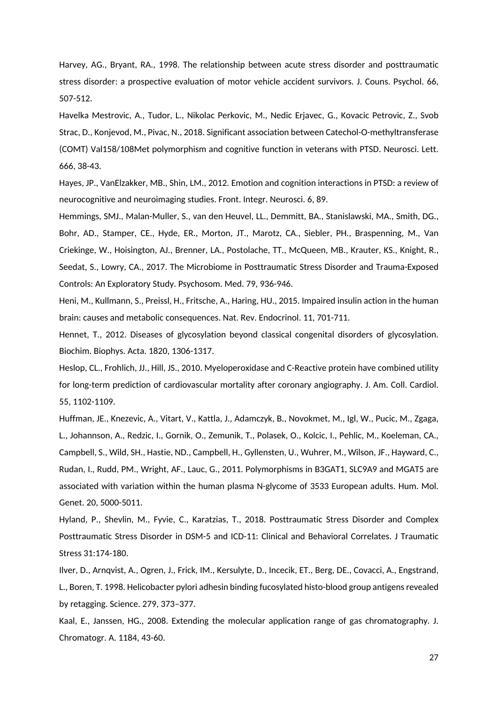Harvey, AG., Bryant, RA., 1998. The relationship between acute stress disorder and posttraumatic stress disorder: a prospective evaluation of motor vehicle accident survivors. J. Couns. Psychol. 66, 507-512.

Havelka Mestrovic, A., Tudor, L., Nikolac Perkovic, M., Nedic Erjavec, G., Kovacic Petrovic, Z., Svob Strac, D., Konjevod, M., Pivac, N., 2018. Significant association between Catechol-O-methyltransferase (COMT) Val158/108Met polymorphism and cognitive function in veterans with PTSD. Neurosci. Lett. 666, 38-43.

Hayes, JP., VanElzakker, MB., Shin, LM., 2012. Emotion and cognition interactions in PTSD: a review of neurocognitive and neuroimaging studies. Front. Integr. Neurosci. 6, 89.

Hemmings, SMJ., Malan-Muller, S., van den Heuvel, LL., Demmitt, BA., Stanislawski, MA., Smith, DG., Bohr, AD., Stamper, CE., Hyde, ER., Morton, JT., Marotz, CA., Siebler, PH., Braspenning, M., Van Criekinge, W., Hoisington, AJ., Brenner, LA., Postolache, TT., McQueen, MB., Krauter, KS., Knight, R., Seedat, S., Lowry, CA., 2017. The Microbiome in Posttraumatic Stress Disorder and Trauma-Exposed Controls: An Exploratory Study. Psychosom. Med. 79, 936-946.

Heni, M., Kullmann, S., Preissl, H., Fritsche, A., Haring, HU., 2015. Impaired insulin action in the human brain: causes and metabolic consequences. Nat. Rev. Endocrinol. 11, 701-711.

Hennet, T., 2012. Diseases of glycosylation beyond classical congenital disorders of glycosylation. Biochim. Biophys. Acta. 1820, 1306-1317.

Heslop, CL., Frohlich, JJ., Hill, JS., 2010. Myeloperoxidase and C-Reactive protein have combined utility for long-term prediction of cardiovascular mortality after coronary angiography. J. Am. Coll. Cardiol. 55, 1102-1109.

Huffman, JE., Knezevic, A., Vitart, V., Kattla, J., Adamczyk, B., Novokmet, M., Igl, W., Pucic, M., Zgaga, L., Johannson, A., Redzic, I., Gornik, O., Zemunik, T., Polasek, O., Kolcic, I., Pehlic, M., Koeleman, CA., Campbell, S., Wild, SH., Hastie, ND., Campbell, H., Gyllensten, U., Wuhrer, M., Wilson, JF., Hayward, C., Rudan, I., Rudd, PM., Wright, AF., Lauc, G., 2011. Polymorphisms in B3GAT1, SLC9A9 and MGAT5 are associated with variation within the human plasma N-glycome of 3533 European adults. Hum. Mol. Genet. 20, 5000-5011.

Hyland, P., Shevlin, M., Fyvie, C., Karatzias, T., 2018. Posttraumatic Stress Disorder and Complex Posttraumatic Stress Disorder in DSM-5 and ICD-11: Clinical and Behavioral Correlates. J Traumatic Stress 31:174-180.

Ilver, D., Arnqvist, A., Ogren, J., Frick, IM., Kersulyte, D., Incecik, ET., Berg, DE., Covacci, A., Engstrand, L., Boren, T. 1998. Helicobacter pylori adhesin binding fucosylated histo-blood group antigens revealed by retagging. Science. 279, 373–377.

Kaal, E., Janssen, HG., 2008. Extending the molecular application range of gas chromatography. J. Chromatogr. A. 1184, 43-60.

27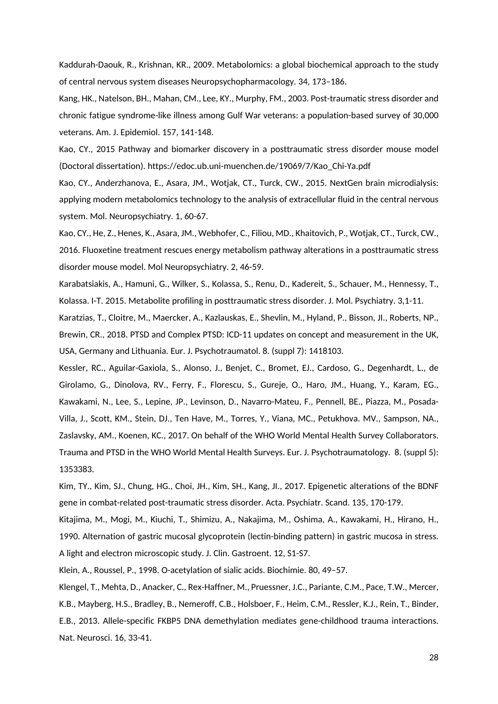Kaddurah-Daouk, R., Krishnan, KR., 2009. Metabolomics: a global biochemical approach to the study of central nervous system diseases Neuropsychopharmacology. 34, 173–186.

Kang, HK., Natelson, BH., Mahan, CM., Lee, KY., Murphy, FM., 2003. Post-traumatic stress disorder and chronic fatigue syndrome-like illness among Gulf War veterans: a population-based survey of 30,000 veterans. Am. J. Epidemiol. 157, 141-148.

Kao, CY., 2015 Pathway and biomarker discovery in a posttraumatic stress disorder mouse model (Doctoral dissertation). https://edoc.ub.uni-muenchen.de/19069/7/Kao\_Chi-Ya.pdf

Kao, CY., Anderzhanova, E., Asara, JM., Wotjak, CT., Turck, CW., 2015. NextGen brain microdialysis: applying modern metabolomics technology to the analysis of extracellular fluid in the central nervous system. Mol. Neuropsychiatry. 1, 60-67.

Kao, CY., He, Z., Henes, K., Asara, JM., Webhofer, C., Filiou, MD., Khaitovich, P., Wotjak, CT., Turck, CW., 2016. Fluoxetine treatment rescues energy metabolism pathway alterations in a posttraumatic stress disorder mouse model. Mol Neuropsychiatry. 2, 46-59.

Karabatsiakis, A., Hamuni, G., Wilker, S., Kolassa, S., Renu, D., Kadereit, S., Schauer, M., Hennessy, T., Kolassa. I-T. 2015. Metabolite profiling in posttraumatic stress disorder. J. Mol. Psychiatry. 3,1-11.

Karatzias, T., Cloitre, M., Maercker, A., Kazlauskas, E., Shevlin, M., Hyland, P., Bisson, JI., Roberts, NP., Brewin, CR., 2018. PTSD and Complex PTSD: ICD-11 updates on concept and measurement in the UK, USA, Germany and Lithuania. Eur. J. Psychotraumatol. 8. (suppl 7): 1418103.

Kessler, RC., Aguilar-Gaxiola, S., Alonso, J., Benjet, C., Bromet, EJ., Cardoso, G., Degenhardt, L., de Girolamo, G., Dinolova, RV., Ferry, F., Florescu, S., Gureje, O., Haro, JM., Huang, Y., Karam, EG., Kawakami, N., Lee, S., Lepine, JP., Levinson, D., Navarro-Mateu, F., Pennell, BE., Piazza, M., Posada-Villa, J., Scott, KM., Stein, DJ., Ten Have, M., Torres, Y., Viana, MC., Petukhova. MV., Sampson, NA., Zaslavsky, AM., Koenen, KC., 2017. On behalf of the WHO World Mental Health Survey Collaborators. Trauma and PTSD in the WHO World Mental Health Surveys. Eur. J. Psychotraumatology. 8. (suppl 5): 1353383.

Kim, TY., Kim, SJ., Chung, HG., Choi, JH., Kim, SH., Kang, JI., 2017. Epigenetic alterations of the BDNF gene in combat-related post-traumatic stress disorder. Acta. Psychiatr. Scand. 135, 170-179.

Kitajima, M., Mogi, M., Kiuchi, T., Shimizu, A., Nakajima, M., Oshima, A., Kawakami, H., Hirano, H., 1990. Alternation of gastric mucosal glycoprotein (lectin-binding pattern) in gastric mucosa in stress. A light and electron microscopic study. J. Clin. Gastroent. 12, S1-S7.

Klein, A., Roussel, P., 1998. O-acetylation of sialic acids. Biochimie. 80, 49–57.

Klengel, T., Mehta, D., Anacker, C., Rex-Haffner, M., Pruessner, J.C., Pariante, C.M., Pace, T.W., Mercer, K.B., Mayberg, H.S., Bradley, B., Nemeroff, C.B., Holsboer, F., Heim, C.M., Ressler, K.J., Rein, T., Binder, E.B., 2013. Allele-specific FKBP5 DNA demethylation mediates gene-childhood trauma interactions. Nat. Neurosci. 16, 33-41.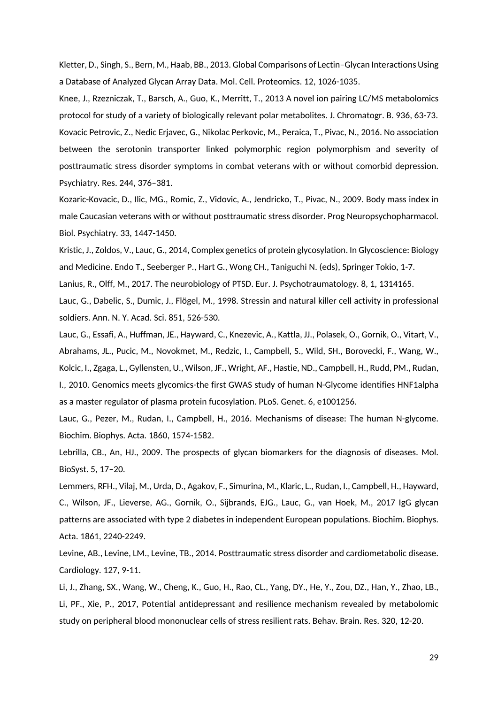Kletter, D., Singh, S., Bern, M., Haab, BB., 2013. Global Comparisons of Lectin–Glycan Interactions Using a Database of Analyzed Glycan Array Data. Mol. Cell. Proteomics. 12, 1026-1035.

Knee, J., Rzezniczak, T., Barsch, A., Guo, K., Merritt, T., 2013 A novel ion pairing LC/MS metabolomics protocol for study of a variety of biologically relevant polar metabolites. J. Chromatogr. B. 936, 63-73. Kovacic Petrovic, Z., Nedic Erjavec, G., Nikolac Perkovic, M., Peraica, T., Pivac, N., 2016. No association between the serotonin transporter linked polymorphic region polymorphism and severity of posttraumatic stress disorder symptoms in combat veterans with or without comorbid depression. Psychiatry. Res. 244, 376–381.

Kozaric-Kovacic, D., Ilic, MG., Romic, Z., Vidovic, A., Jendricko, T., Pivac, N., 2009. Body mass index in male Caucasian veterans with or without posttraumatic stress disorder. Prog Neuropsychopharmacol. Biol. Psychiatry. 33, 1447-1450.

Kristic, J., Zoldos, V., Lauc, G., 2014, Complex genetics of protein glycosylation. In Glycoscience: Biology and Medicine. Endo T., Seeberger P., Hart G., Wong CH., Taniguchi N. (eds), Springer Tokio, 1-7.

Lanius, R., Olff, M., 2017. The neurobiology of PTSD. Eur. J. Psychotraumatology. 8, 1, 1314165.

Lauc, G., Dabelic, S., Dumic, J., Flögel, M., 1998. Stressin and natural killer cell activity in professional soldiers. Ann. N. Y. Acad. Sci. 851, 526-530.

Lauc, G., Essafi, A., Huffman, JE., Hayward, C., Knezevic, A., Kattla, JJ., Polasek, O., Gornik, O., Vitart, V., Abrahams, JL., Pucic, M., Novokmet, M., Redzic, I., Campbell, S., Wild, SH., Borovecki, F., Wang, W., Kolcic, I., Zgaga, L., Gyllensten, U., Wilson, JF., Wright, AF., Hastie, ND., Campbell, H., Rudd, PM., Rudan, I., 2010. Genomics meets glycomics-the first GWAS study of human N-Glycome identifies HNF1alpha as a master regulator of plasma protein fucosylation. PLoS. Genet. 6, e1001256.

Lauc, G., Pezer, M., Rudan, I., Campbell, H., 2016. Mechanisms of disease: The human N-glycome. Biochim. Biophys. Acta. 1860, 1574-1582.

Lebrilla, CB., An, HJ., 2009. The prospects of glycan biomarkers for the diagnosis of diseases. Mol. BioSyst. 5, 17–20.

Lemmers, RFH., Vilaj, M., Urda, D., Agakov, F., Simurina, M., Klaric, L., Rudan, I., Campbell, H., Hayward, C., Wilson, JF., Lieverse, AG., Gornik, O., Sijbrands, EJG., Lauc, G., van Hoek, M., 2017 IgG glycan patterns are associated with type 2 diabetes in independent European populations. Biochim. Biophys. Acta. 1861, 2240-2249.

Levine, AB., Levine, LM., Levine, TB., 2014. Posttraumatic stress disorder and cardiometabolic disease. Cardiology. 127, 9-11.

Li, J., Zhang, SX., Wang, W., Cheng, K., Guo, H., Rao, CL., Yang, DY., He, Y., Zou, DZ., Han, Y., Zhao, LB., Li, PF., Xie, P., 2017, Potential antidepressant and resilience mechanism revealed by metabolomic study on peripheral blood mononuclear cells of stress resilient rats. Behav. Brain. Res. 320, 12-20.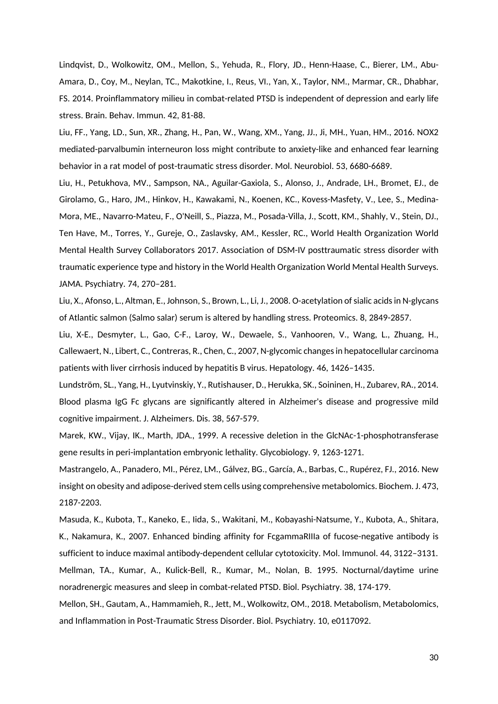Lindqvist, D., Wolkowitz, OM., Mellon, S., Yehuda, R., Flory, JD., Henn-Haase, C., Bierer, LM., Abu-Amara, D., Coy, M., Neylan, TC., Makotkine, I., Reus, VI., Yan, X., Taylor, NM., Marmar, CR., Dhabhar, FS. 2014. Proinflammatory milieu in combat-related PTSD is independent of depression and early life stress. Brain. Behav. Immun. 42, 81-88.

Liu, FF., Yang, LD., Sun, XR., Zhang, H., Pan, W., Wang, XM., Yang, JJ., Ji, MH., Yuan, HM., 2016. NOX2 mediated-parvalbumin interneuron loss might contribute to anxiety-like and enhanced fear learning behavior in a rat model of post-traumatic stress disorder. Mol. Neurobiol. 53, 6680-6689.

Liu, H., Petukhova, MV., Sampson, NA., Aguilar-Gaxiola, S., Alonso, J., Andrade, LH., Bromet, EJ., de Girolamo, G., Haro, JM., Hinkov, H., Kawakami, N., Koenen, KC., Kovess-Masfety, V., Lee, S., Medina-Mora, ME., Navarro-Mateu, F., O'Neill, S., Piazza, M., Posada-Villa, J., Scott, KM., Shahly, V., Stein, DJ., Ten Have, M., Torres, Y., Gureje, O., Zaslavsky, AM., Kessler, RC., World Health Organization World Mental Health Survey Collaborators 2017. Association of DSM-IV posttraumatic stress disorder with traumatic experience type and history in the World Health Organization World Mental Health Surveys. JAMA. Psychiatry. 74, 270–281.

Liu, X., Afonso, L., Altman, E., Johnson, S., Brown, L., Li, J., 2008. O-acetylation of sialic acids in N-glycans of Atlantic salmon (Salmo salar) serum is altered by handling stress. Proteomics. 8, 2849-2857.

Liu, X-E., Desmyter, L., Gao, C-F., Laroy, W., Dewaele, S., Vanhooren, V., Wang, L., Zhuang, H., Callewaert, N., Libert, C., Contreras, R., Chen, C., 2007, N-glycomic changes in hepatocellular carcinoma patients with liver cirrhosis induced by hepatitis B virus. Hepatology. 46, 1426–1435.

Lundström, SL., Yang, H., Lyutvinskiy, Y., Rutishauser, D., Herukka, SK., Soininen, H., Zubarev, RA., 2014. Blood plasma IgG Fc glycans are significantly altered in Alzheimer's disease and progressive mild cognitive impairment. J. Alzheimers. Dis. 38, 567-579.

Marek, KW., Vijay, IK., Marth, JDA., 1999. A recessive deletion in the GlcNAc-1-phosphotransferase gene results in peri-implantation embryonic lethality. Glycobiology. 9, 1263-1271.

Mastrangelo, A., Panadero, MI., Pérez, LM., Gálvez, BG., García, A., Barbas, C., Rupérez, FJ., 2016. New insight on obesity and adipose-derived stem cells using comprehensive metabolomics. Biochem. J. 473, 2187-2203.

Masuda, K., Kubota, T., Kaneko, E., Iida, S., Wakitani, M., Kobayashi-Natsume, Y., Kubota, A., Shitara, K., Nakamura, K., 2007. Enhanced binding affinity for FcgammaRIIIa of fucose-negative antibody is sufficient to induce maximal antibody-dependent cellular cytotoxicity. Mol. Immunol. 44, 3122–3131. Mellman, TA., Kumar, A., Kulick-Bell, R., Kumar, M., Nolan, B. 1995. Nocturnal/daytime urine noradrenergic measures and sleep in combat-related PTSD. Biol. Psychiatry. 38, 174-179.

Mellon, SH., Gautam, A., Hammamieh, R., Jett, M., Wolkowitz, OM., 2018. Metabolism, Metabolomics, and Inflammation in Post-Traumatic Stress Disorder. Biol. Psychiatry. 10, e0117092.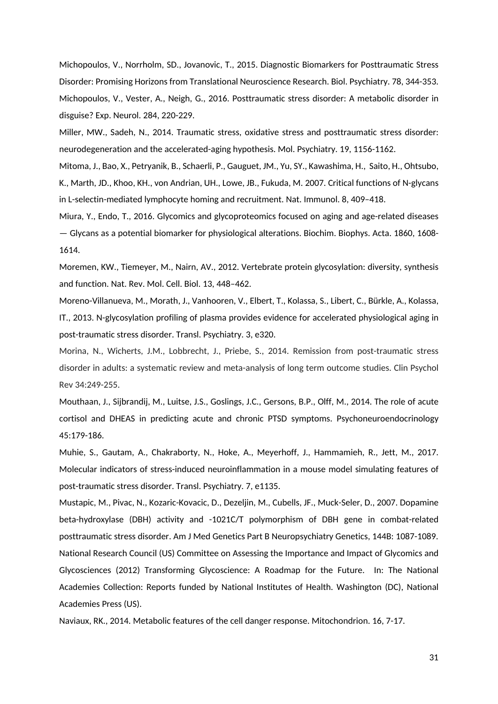Michopoulos, V., Norrholm, SD., Jovanovic, T., 2015. Diagnostic Biomarkers for Posttraumatic Stress Disorder: Promising Horizons from Translational Neuroscience Research. Biol. Psychiatry. 78, 344-353. Michopoulos, V., Vester, A., Neigh, G., 2016. Posttraumatic stress disorder: A metabolic disorder in disguise? Exp. Neurol. 284, 220-229.

Miller, MW., Sadeh, N., 2014. Traumatic stress, oxidative stress and posttraumatic stress disorder: neurodegeneration and the accelerated-aging hypothesis. Mol. Psychiatry. 19, 1156-1162.

Mitoma, J., Bao, X., Petryanik, B., Schaerli, P., Gauguet, JM., Yu, SY., Kawashima, H., Saito, H., Ohtsubo, K., Marth, JD., Khoo, KH., von Andrian, UH., Lowe, JB., Fukuda, M. 2007. Critical functions of N-glycans in L-selectin-mediated lymphocyte homing and recruitment. Nat. Immunol. 8, 409–418.

Miura, Y., Endo, T., 2016. Glycomics and glycoproteomics focused on aging and age-related diseases — Glycans as a potential biomarker for physiological alterations. Biochim. Biophys. Acta. 1860, 1608- 1614.

Moremen, KW., Tiemeyer, M., Nairn, AV., 2012. Vertebrate protein glycosylation: diversity, synthesis and function. Nat. Rev. Mol. Cell. Biol. 13, 448–462.

Moreno-Villanueva, M., Morath, J., Vanhooren, V., Elbert, T., Kolassa, S., Libert, C., Bürkle, A., Kolassa, IT., 2013. N-glycosylation profiling of plasma provides evidence for accelerated physiological aging in post-traumatic stress disorder. Transl. Psychiatry. 3, e320.

Morina, N., Wicherts, J.M., Lobbrecht, J., Priebe, S., 2014. Remission from post-traumatic stress disorder in adults: a systematic review and meta-analysis of long term outcome studies. Clin Psychol Rev 34:249-255.

Mouthaan, J., Sijbrandij, M., Luitse, J.S., Goslings, J.C., Gersons, B.P., Olff, M., 2014. The role of acute cortisol and DHEAS in predicting acute and chronic PTSD symptoms. Psychoneuroendocrinology 45:179-186.

Muhie, S., Gautam, A., Chakraborty, N., Hoke, A., Meyerhoff, J., Hammamieh, R., Jett, M., 2017. Molecular indicators of stress-induced neuroinflammation in a mouse model simulating features of post-traumatic stress disorder. Transl. Psychiatry. 7, e1135.

Mustapic, M., Pivac, N., Kozaric-Kovacic, D., Dezeljin, M., Cubells, JF., Muck-Seler, D., 2007. Dopamine beta-hydroxylase (DBH) activity and -1021C/T polymorphism of DBH gene in combat-related posttraumatic stress disorder. Am J Med Genetics Part B Neuropsychiatry Genetics, 144B: 1087-1089. National Research Council (US) Committee on Assessing the Importance and Impact of Glycomics and Glycosciences (2012) Transforming Glycoscience: A Roadmap for the Future. In: The National Academies Collection: Reports funded by National Institutes of Health. Washington (DC), National Academies Press (US).

Naviaux, RK., 2014. Metabolic features of the cell danger response. Mitochondrion. 16, 7-17.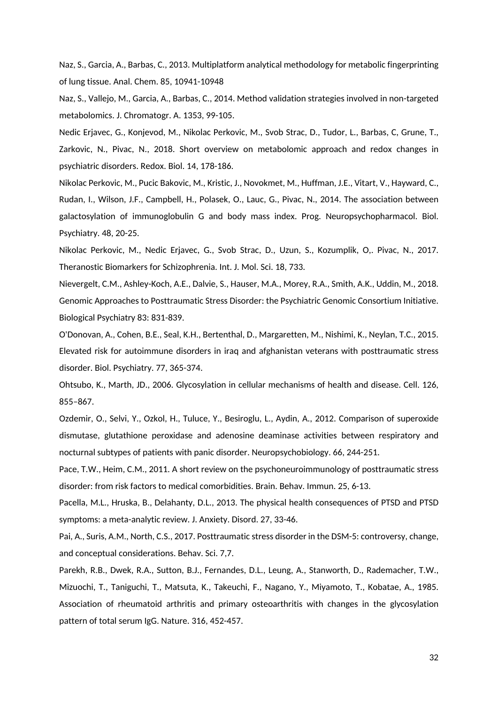Naz, S., Garcia, A., Barbas, C., 2013. Multiplatform analytical methodology for metabolic fingerprinting of lung tissue. Anal. Chem. 85, 10941-10948

Naz, S., Vallejo, M., Garcia, A., Barbas, C., 2014. Method validation strategies involved in non-targeted metabolomics. J. Chromatogr. A. 1353, 99-105.

Nedic Erjavec, G., Konjevod, M., Nikolac Perkovic, M., Svob Strac, D., Tudor, L., Barbas, C, Grune, T., Zarkovic, N., Pivac, N., 2018. Short overview on metabolomic approach and redox changes in psychiatric disorders. Redox. Biol. 14, 178-186.

Nikolac Perkovic, M., Pucic Bakovic, M., Kristic, J., Novokmet, M., Huffman, J.E., Vitart, V., Hayward, C., Rudan, I., Wilson, J.F., Campbell, H., Polasek, O., Lauc, G., Pivac, N., 2014. The association between galactosylation of immunoglobulin G and body mass index. Prog. Neuropsychopharmacol. Biol. Psychiatry. 48, 20-25.

Nikolac Perkovic, M., Nedic Erjavec, G., Svob Strac, D., Uzun, S., Kozumplik, O,. Pivac, N., 2017. Theranostic Biomarkers for Schizophrenia. Int. J. Mol. Sci. 18, 733.

Nievergelt, C.M., Ashley-Koch, A.E., Dalvie, S., Hauser, M.A., Morey, R.A., Smith, A.K., Uddin, M., 2018. Genomic Approaches to Posttraumatic Stress Disorder: the Psychiatric Genomic Consortium Initiative. Biological Psychiatry 83: 831-839.

O'Donovan, A., Cohen, B.E., Seal, K.H., Bertenthal, D., Margaretten, M., Nishimi, K., Neylan, T.C., 2015. Elevated risk for autoimmune disorders in iraq and afghanistan veterans with posttraumatic stress disorder. Biol. Psychiatry. 77, 365-374.

Ohtsubo, K., Marth, JD., 2006. Glycosylation in cellular mechanisms of health and disease. Cell. 126, 855–867.

Ozdemir, O., Selvi, Y., Ozkol, H., Tuluce, Y., Besiroglu, L., Aydin, A., 2012. Comparison of superoxide dismutase, glutathione peroxidase and adenosine deaminase activities between respiratory and nocturnal subtypes of patients with panic disorder. Neuropsychobiology. 66, 244-251.

Pace, T.W., Heim, C.M., 2011. A short review on the psychoneuroimmunology of posttraumatic stress disorder: from risk factors to medical comorbidities. Brain. Behav. Immun. 25, 6-13.

Pacella, M.L., Hruska, B., Delahanty, D.L., 2013. The physical health consequences of PTSD and PTSD symptoms: a meta-analytic review. J. Anxiety. Disord. 27, 33-46.

Pai, A., Suris, A.M., North, C.S., 2017. Posttraumatic stress disorder in the DSM-5: controversy, change, and conceptual considerations. Behav. Sci. 7,7.

Parekh, R.B., Dwek, R.A., Sutton, B.J., Fernandes, D.L., Leung, A., Stanworth, D., Rademacher, T.W., Mizuochi, T., Taniguchi, T., Matsuta, K., Takeuchi, F., Nagano, Y., Miyamoto, T., Kobatae, A., 1985. Association of rheumatoid arthritis and primary osteoarthritis with changes in the glycosylation pattern of total serum IgG. Nature. 316, 452-457.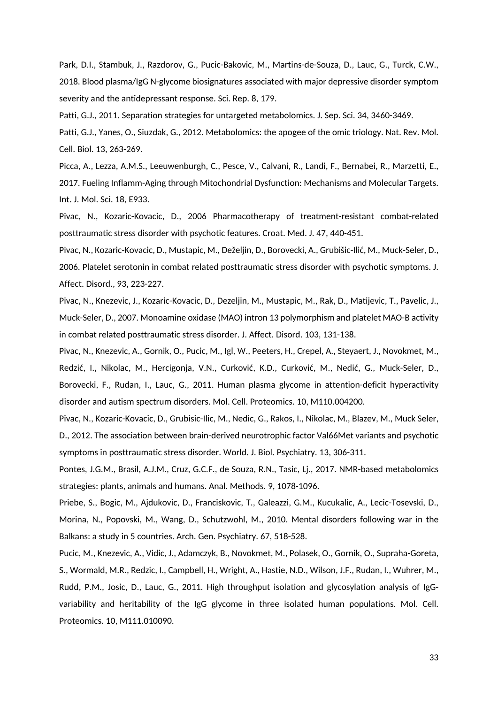Park, D.I., Stambuk, J., Razdorov, G., Pucic-Bakovic, M., Martins-de-Souza, D., Lauc, G., Turck, C.W., 2018. Blood plasma/IgG N-glycome biosignatures associated with major depressive disorder symptom severity and the antidepressant response. Sci. Rep. 8, 179.

Patti, G.J., 2011. Separation strategies for untargeted metabolomics. J. Sep. Sci. 34, 3460-3469.

Patti, G.J., Yanes, O., Siuzdak, G., 2012. Metabolomics: the apogee of the omic triology. Nat. Rev. Mol. Cell. Biol. 13, 263-269.

Picca, A., Lezza, A.M.S., Leeuwenburgh, C., Pesce, V., Calvani, R., Landi, F., Bernabei, R., Marzetti, E., 2017. Fueling Inflamm-Aging through Mitochondrial Dysfunction: Mechanisms and Molecular Targets. Int. J. Mol. Sci. 18, E933.

Pivac, N., Kozaric-Kovacic, D., 2006 Pharmacotherapy of treatment-resistant combat-related posttraumatic stress disorder with psychotic features. Croat. Med. J. 47, 440-451.

Pivac, N., Kozaric-Kovacic, D., Mustapic, M., Deželjin, D., Borovecki, A., Grubišic-Ilić, M., Muck-Seler, D., 2006. Platelet serotonin in combat related posttraumatic stress disorder with psychotic symptoms. J. Affect. Disord., 93, 223-227.

Pivac, N., Knezevic, J., Kozaric-Kovacic, D., Dezeljin, M., Mustapic, M., Rak, D., Matijevic, T., Pavelic, J., Muck-Seler, D., 2007. Monoamine oxidase (MAO) intron 13 polymorphism and platelet MAO-B activity in combat related posttraumatic stress disorder. J. Affect. Disord. 103, 131-138.

Pivac, N., Knezevic, A., Gornik, O., Pucic, M., Igl, W., Peeters, H., Crepel, A., Steyaert, J., Novokmet, M., Redzić, I., Nikolac, M., Hercigonja, V.N., Curković, K.D., Curković, M., Nedić, G., Muck-Seler, D., Borovecki, F., Rudan, I., Lauc, G., 2011. Human plasma glycome in attention-deficit hyperactivity disorder and autism spectrum disorders. Mol. Cell. Proteomics. 10, M110.004200.

Pivac, N., Kozaric-Kovacic, D., Grubisic-Ilic, M., Nedic, G., Rakos, I., Nikolac, M., Blazev, M., Muck Seler, D., 2012. The association between brain-derived neurotrophic factor Val66Met variants and psychotic symptoms in posttraumatic stress disorder. World. J. Biol. Psychiatry. 13, 306-311.

Pontes, J.G.M., Brasil, A.J.M., Cruz, G.C.F., de Souza, R.N., Tasic, Lj., 2017. NMR-based metabolomics strategies: plants, animals and humans. Anal. Methods. 9, 1078-1096.

Priebe, S., Bogic, M., Ajdukovic, D., Franciskovic, T., Galeazzi, G.M., Kucukalic, A., Lecic-Tosevski, D., Morina, N., Popovski, M., Wang, D., Schutzwohl, M., 2010. Mental disorders following war in the Balkans: a study in 5 countries. Arch. Gen. Psychiatry. 67, 518-528.

Pucic, M., Knezevic, A., Vidic, J., Adamczyk, B., Novokmet, M., Polasek, O., Gornik, O., Supraha-Goreta, S., Wormald, M.R., Redzic, I., Campbell, H., Wright, A., Hastie, N.D., Wilson, J.F., Rudan, I., Wuhrer, M., Rudd, P.M., Josic, D., Lauc, G., 2011. High throughput isolation and glycosylation analysis of IgGvariability and heritability of the IgG glycome in three isolated human populations. Mol. Cell. Proteomics. 10, M111.010090.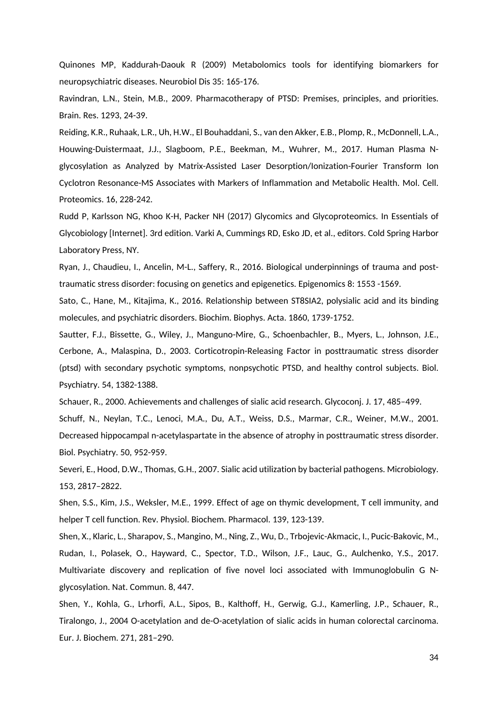Quinones MP, Kaddurah-Daouk R (2009) Metabolomics tools for identifying biomarkers for neuropsychiatric diseases. Neurobiol Dis 35: 165-176.

Ravindran, L.N., Stein, M.B., 2009. Pharmacotherapy of PTSD: Premises, principles, and priorities. Brain. Res. 1293, 24-39.

Reiding, K.R., Ruhaak, L.R., Uh, H.W., El Bouhaddani, S., van den Akker, E.B., Plomp, R., McDonnell, L.A., Houwing-Duistermaat, J.J., Slagboom, P.E., Beekman, M., Wuhrer, M., 2017. Human Plasma Nglycosylation as Analyzed by Matrix-Assisted Laser Desorption/Ionization-Fourier Transform Ion Cyclotron Resonance-MS Associates with Markers of Inflammation and Metabolic Health. Mol. Cell. Proteomics. 16, 228-242.

Rudd P, Karlsson NG, Khoo K-H, Packer NH (2017) Glycomics and Glycoproteomics. In Essentials of Glycobiology [Internet]. 3rd edition. Varki A, Cummings RD, Esko JD, et al., editors. Cold Spring Harbor Laboratory Press, NY.

Ryan, J., Chaudieu, I., Ancelin, M-L., Saffery, R., 2016. Biological underpinnings of trauma and posttraumatic stress disorder: focusing on genetics and epigenetics. Epigenomics 8: 1553 -1569.

Sato, C., Hane, M., Kitajima, K., 2016. Relationship between ST8SIA2, polysialic acid and its binding molecules, and psychiatric disorders. Biochim. Biophys. Acta. 1860, 1739-1752.

Sautter, F.J., Bissette, G., Wiley, J., Manguno-Mire, G., Schoenbachler, B., Myers, L., Johnson, J.E., Cerbone, A., Malaspina, D., 2003. Corticotropin-Releasing Factor in posttraumatic stress disorder (ptsd) with secondary psychotic symptoms, nonpsychotic PTSD, and healthy control subjects. Biol. Psychiatry. 54, 1382-1388.

Schauer, R., 2000. Achievements and challenges of sialic acid research. Glycoconj. J. 17, 485–499.

Schuff, N., Neylan, T.C., Lenoci, M.A., Du, A.T., Weiss, D.S., Marmar, C.R., Weiner, M.W., 2001. Decreased hippocampal n-acetylaspartate in the absence of atrophy in posttraumatic stress disorder. Biol. Psychiatry. 50, 952-959.

Severi, E., Hood, D.W., Thomas, G.H., 2007. Sialic acid utilization by bacterial pathogens. Microbiology. 153, 2817–2822.

Shen, S.S., Kim, J.S., Weksler, M.E., 1999. Effect of age on thymic development, T cell immunity, and helper T cell function. Rev. Physiol. Biochem. Pharmacol. 139, 123-139.

Shen, X., Klaric, L., Sharapov, S., Mangino, M., Ning, Z., Wu, D., Trbojevic-Akmacic, I., Pucic-Bakovic, M., Rudan, I., Polasek, O., Hayward, C., Spector, T.D., Wilson, J.F., Lauc, G., Aulchenko, Y.S., 2017. Multivariate discovery and replication of five novel loci associated with Immunoglobulin G Nglycosylation. Nat. Commun. 8, 447.

Shen, Y., Kohla, G., Lrhorfi, A.L., Sipos, B., Kalthoff, H., Gerwig, G.J., Kamerling, J.P., Schauer, R., Tiralongo, J., 2004 O-acetylation and de-O-acetylation of sialic acids in human colorectal carcinoma. Eur. J. Biochem. 271, 281–290.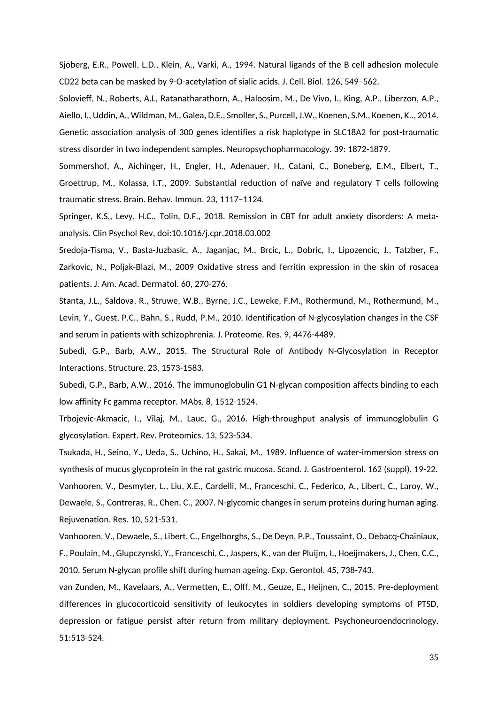Sjoberg, E.R., Powell, L.D., Klein, A., Varki, A., 1994. Natural ligands of the B cell adhesion molecule CD22 beta can be masked by 9-O-acetylation of sialic acids. J. Cell. Biol. 126, 549–562.

Solovieff, N., Roberts, A.L, Ratanatharathorn, A., Haloosim, M., De Vivo, I., King, A.P., Liberzon, A.P., Aiello, I., Uddin, A., Wildman, M., Galea, D.E., Smoller, S., Purcell, J.W., Koenen, S.M., Koenen, K.., 2014. Genetic association analysis of 300 genes identifies a risk haplotype in SLC18A2 for post-traumatic stress disorder in two independent samples. Neuropsychopharmacology. 39: 1872-1879.

Sommershof, A., Aichinger, H., Engler, H., Adenauer, H., Catani, C., Boneberg, E.M., Elbert, T., Groettrup, M., Kolassa, I.T., 2009. Substantial reduction of naïve and regulatory T cells following traumatic stress. Brain. Behav. Immun. 23, 1117–1124.

Springer, K.S,, Levy, H.C., Tolin, D.F., 2018. Remission in CBT for adult anxiety disorders: A metaanalysis. Clin Psychol Rev, doi:10.1016/j.cpr.2018.03.002

Sredoja-Tisma, V., Basta-Juzbasic, A., Jaganjac, M., Brcic, L., Dobric, I., Lipozencic, J., Tatzber, F., Zarkovic, N., Poljak-Blazi, M., 2009 Oxidative stress and ferritin expression in the skin of rosacea patients. J. Am. Acad. Dermatol. 60, 270-276.

Stanta, J.L., Saldova, R., Struwe, W.B., Byrne, J.C., Leweke, F.M., Rothermund, M., Rothermund, M., Levin, Y., Guest, P.C., Bahn, S., Rudd, P.M., 2010. Identification of N-glycosylation changes in the CSF and serum in patients with schizophrenia. J. Proteome. Res. 9, 4476-4489.

Subedi, G.P., Barb, A.W., 2015. The Structural Role of Antibody N-Glycosylation in Receptor Interactions. Structure. 23, 1573-1583.

Subedi, G.P., Barb, A.W., 2016. The immunoglobulin G1 N-glycan composition affects binding to each low affinity Fc gamma receptor. MAbs. 8, 1512-1524.

Trbojevic-Akmacic, I., Vilaj, M., Lauc, G., 2016. High-throughput analysis of immunoglobulin G glycosylation. Expert. Rev. Proteomics. 13, 523-534.

Tsukada, H., Seino, Y., Ueda, S., Uchino, H., Sakai, M., 1989. Influence of water-immersion stress on synthesis of mucus glycoprotein in the rat gastric mucosa. Scand. J. Gastroenterol. 162 (suppl), 19-22. Vanhooren, V., Desmyter, L., Liu, X.E., Cardelli, M., Franceschi, C., Federico, A., Libert, C., Laroy, W., Dewaele, S., Contreras, R., Chen, C., 2007. N-glycomic changes in serum proteins during human aging. Rejuvenation. Res. 10, 521-531.

Vanhooren, V., Dewaele, S., Libert, C., Engelborghs, S., De Deyn, P.P., Toussaint, O., Debacq-Chainiaux, F., Poulain, M., Glupczynski, Y., Franceschi, C., Jaspers, K., van der Pluijm, I., Hoeijmakers, J., Chen, C.C., 2010. Serum N-glycan profile shift during human ageing. Exp. Gerontol. 45, 738-743.

van Zunden, M., Kavelaars, A., Vermetten, E., Olff, M., Geuze, E., Heijnen, C., 2015. Pre-deployment differences in glucocorticoid sensitivity of leukocytes in soldiers developing symptoms of PTSD, depression or fatigue persist after return from military deployment. Psychoneuroendocrinology. 51:513-524.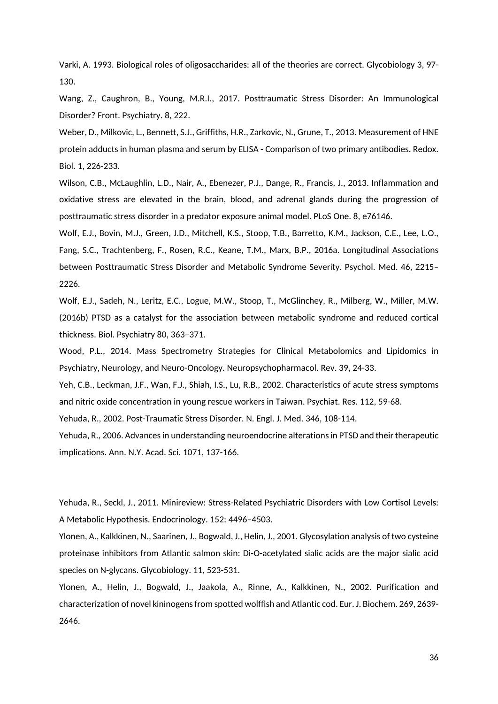Varki, A. 1993. Biological roles of oligosaccharides: all of the theories are correct. Glycobiology 3, 97- 130.

Wang, Z., Caughron, B., Young, M.R.I., 2017. Posttraumatic Stress Disorder: An Immunological Disorder? Front. Psychiatry. 8, 222.

Weber, D., Milkovic, L., Bennett, S.J., Griffiths, H.R., Zarkovic, N., Grune, T., 2013. Measurement of HNE protein adducts in human plasma and serum by ELISA - Comparison of two primary antibodies. Redox. Biol. 1, 226-233.

Wilson, C.B., McLaughlin, L.D., Nair, A., Ebenezer, P.J., Dange, R., Francis, J., 2013. Inflammation and oxidative stress are elevated in the brain, blood, and adrenal glands during the progression of posttraumatic stress disorder in a predator exposure animal model. PLoS One. 8, e76146.

Wolf, E.J., Bovin, M.J., Green, J.D., Mitchell, K.S., Stoop, T.B., Barretto, K.M., Jackson, C.E., Lee, L.O., Fang, S.C., Trachtenberg, F., Rosen, R.C., Keane, T.M., Marx, B.P., 2016a. Longitudinal Associations between Posttraumatic Stress Disorder and Metabolic Syndrome Severity. Psychol. Med. 46, 2215– 2226.

Wolf, E.J., Sadeh, N., Leritz, E.C., Logue, M.W., Stoop, T., McGlinchey, R., Milberg, W., Miller, M.W. (2016b) PTSD as a catalyst for the association between metabolic syndrome and reduced cortical thickness. Biol. Psychiatry 80, 363–371.

Wood, P.L., 2014. Mass Spectrometry Strategies for Clinical Metabolomics and Lipidomics in Psychiatry, Neurology, and Neuro-Oncology. Neuropsychopharmacol. Rev. 39, 24-33.

Yeh, C.B., Leckman, J.F., Wan, F.J., Shiah, I.S., Lu, R.B., 2002. Characteristics of acute stress symptoms and nitric oxide concentration in young rescue workers in Taiwan. Psychiat. Res. 112, 59-68.

Yehuda, R., 2002. Post-Traumatic Stress Disorder. N. Engl. J. Med. 346, 108-114.

Yehuda, R., 2006. Advances in understanding neuroendocrine alterations in PTSD and their therapeutic implications. Ann. N.Y. Acad. Sci. 1071, 137-166.

Yehuda, R., Seckl, J., 2011. Minireview: Stress-Related Psychiatric Disorders with Low Cortisol Levels: A Metabolic Hypothesis. Endocrinology. 152: 4496–4503.

Ylonen, A., Kalkkinen, N., Saarinen, J., Bogwald, J., Helin, J., 2001. Glycosylation analysis of two cysteine proteinase inhibitors from Atlantic salmon skin: Di-O-acetylated sialic acids are the major sialic acid species on N-glycans. Glycobiology. 11, 523-531.

Ylonen, A., Helin, J., Bogwald, J., Jaakola, A., Rinne, A., Kalkkinen, N., 2002. Purification and characterization of novel kininogens from spotted wolffish and Atlantic cod. Eur. J. Biochem. 269, 2639- 2646.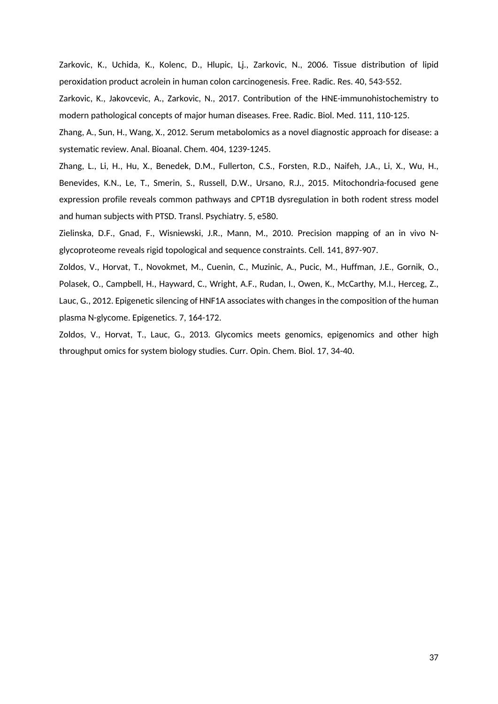Zarkovic, K., Uchida, K., Kolenc, D., Hlupic, Lj., Zarkovic, N., 2006. Tissue distribution of lipid peroxidation product acrolein in human colon carcinogenesis. Free. Radic. Res. 40, 543-552.

Zarkovic, K., Jakovcevic, A., Zarkovic, N., 2017. Contribution of the HNE-immunohistochemistry to modern pathological concepts of major human diseases. Free. Radic. Biol. Med. 111, 110-125.

Zhang, A., Sun, H., Wang, X., 2012. Serum metabolomics as a novel diagnostic approach for disease: a systematic review. Anal. Bioanal. Chem. 404, 1239-1245.

Zhang, L., Li, H., Hu, X., Benedek, D.M., Fullerton, C.S., Forsten, R.D., Naifeh, J.A., Li, X., Wu, H., Benevides, K.N., Le, T., Smerin, S., Russell, D.W., Ursano, R.J., 2015. Mitochondria-focused gene expression profile reveals common pathways and CPT1B dysregulation in both rodent stress model and human subjects with PTSD. Transl. Psychiatry. 5, e580.

Zielinska, D.F., Gnad, F., Wisniewski, J.R., Mann, M., 2010. Precision mapping of an in vivo Nglycoproteome reveals rigid topological and sequence constraints. Cell. 141, 897-907.

Zoldos, V., Horvat, T., Novokmet, M., Cuenin, C., Muzinic, A., Pucic, M., Huffman, J.E., Gornik, O., Polasek, O., Campbell, H., Hayward, C., Wright, A.F., Rudan, I., Owen, K., McCarthy, M.I., Herceg, Z., Lauc, G., 2012. Epigenetic silencing of HNF1A associates with changes in the composition of the human plasma N-glycome. Epigenetics. 7, 164-172.

Zoldos, V., Horvat, T., Lauc, G., 2013. Glycomics meets genomics, epigenomics and other high throughput omics for system biology studies. Curr. Opin. Chem. Biol. 17, 34-40.